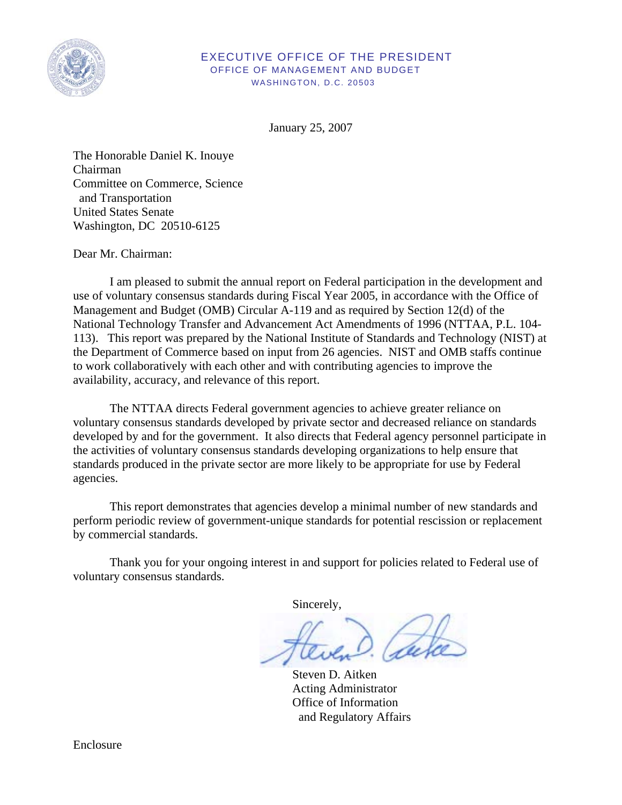

# EXECUTIVE OFFICE OF THE PRESIDENT OFFICE OF MANAGEMENT AND BUDGET WASHINGTON, D.C. 20503

January 25, 2007

The Honorable Daniel K. Inouye Chairman Committee on Commerce, Science and Transportation United States Senate Washington, DC 20510-6125

Dear Mr. Chairman:

I am pleased to submit the annual report on Federal participation in the development and use of voluntary consensus standards during Fiscal Year 2005, in accordance with the Office of Management and Budget (OMB) Circular A-119 and as required by Section 12(d) of the National Technology Transfer and Advancement Act Amendments of 1996 (NTTAA, P.L. 104- 113). This report was prepared by the National Institute of Standards and Technology (NIST) at the Department of Commerce based on input from 26 agencies. NIST and OMB staffs continue to work collaboratively with each other and with contributing agencies to improve the availability, accuracy, and relevance of this report.

The NTTAA directs Federal government agencies to achieve greater reliance on voluntary consensus standards developed by private sector and decreased reliance on standards developed by and for the government. It also directs that Federal agency personnel participate in the activities of voluntary consensus standards developing organizations to help ensure that standards produced in the private sector are more likely to be appropriate for use by Federal agencies.

This report demonstrates that agencies develop a minimal number of new standards and perform periodic review of government-unique standards for potential rescission or replacement by commercial standards.

Thank you for your ongoing interest in and support for policies related to Federal use of voluntary consensus standards.

Sincerely,

 Steven D. Aitken Acting Administrator Office of Information and Regulatory Affairs

Enclosure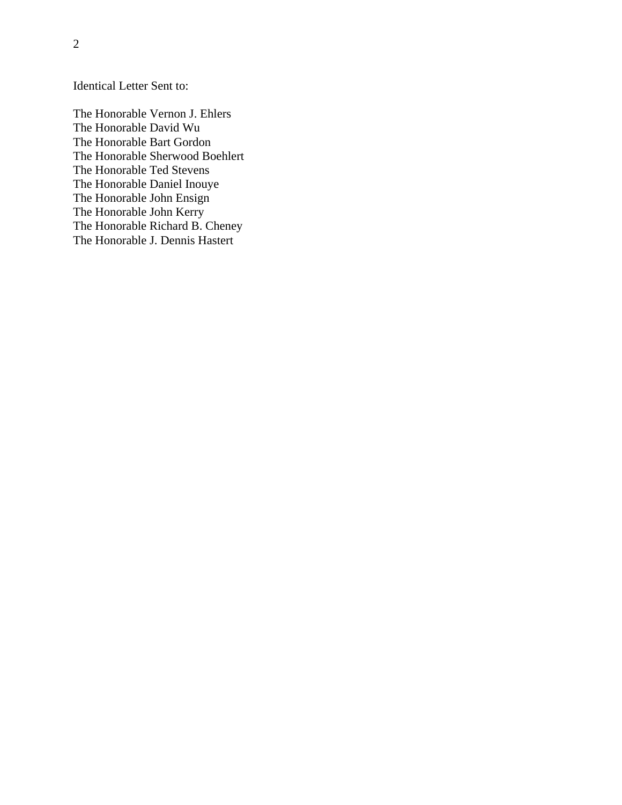Identical Letter Sent to:

The Honorable Vernon J. Ehlers The Honorable David Wu The Honorable Bart Gordon The Honorable Sherwood Boehlert The Honorable Ted Stevens The Honorable Daniel Inouye The Honorable John Ensign The Honorable John Kerry The Honorable Richard B. Cheney The Honorable J. Dennis Hastert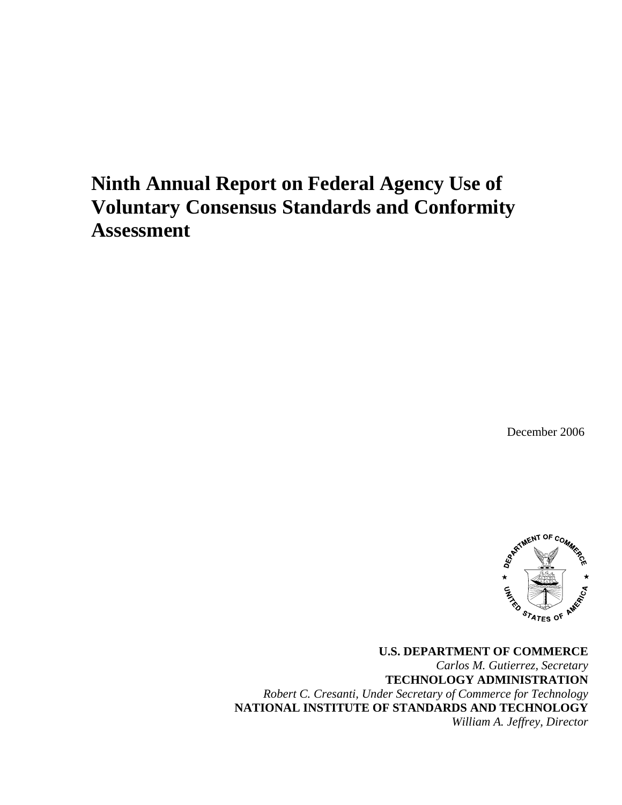# **Ninth Annual Report on Federal Agency Use of Voluntary Consensus Standards and Conformity Assessment**

December 2006



**U.S. DEPARTMENT OF COMMERCE**  *Carlos M. Gutierrez, Secretary*  **TECHNOLOGY ADMINISTRATION**  *Robert C. Cresanti, Under Secretary of Commerce for Technology*  **NATIONAL INSTITUTE OF STANDARDS AND TECHNOLOGY**  *William A. Jeffrey, Director*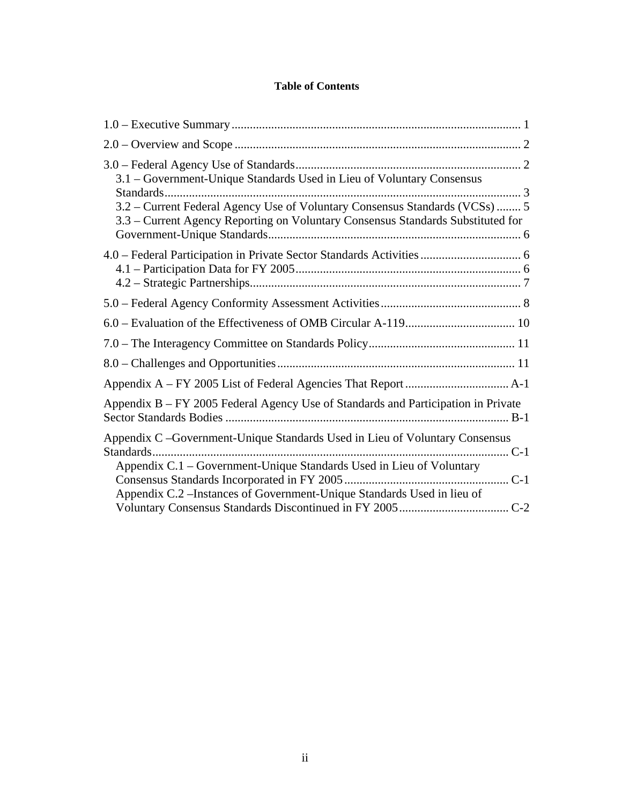# **Table of Contents**

| 3.1 – Government-Unique Standards Used in Lieu of Voluntary Consensus<br>3.2 – Current Federal Agency Use of Voluntary Consensus Standards (VCSs)  5<br>3.3 – Current Agency Reporting on Voluntary Consensus Standards Substituted for |
|-----------------------------------------------------------------------------------------------------------------------------------------------------------------------------------------------------------------------------------------|
|                                                                                                                                                                                                                                         |
|                                                                                                                                                                                                                                         |
|                                                                                                                                                                                                                                         |
|                                                                                                                                                                                                                                         |
|                                                                                                                                                                                                                                         |
|                                                                                                                                                                                                                                         |
| Appendix B – FY 2005 Federal Agency Use of Standards and Participation in Private                                                                                                                                                       |
| Appendix C -Government-Unique Standards Used in Lieu of Voluntary Consensus<br>Appendix C.1 – Government-Unique Standards Used in Lieu of Voluntary<br>Appendix C.2 – Instances of Government-Unique Standards Used in lieu of          |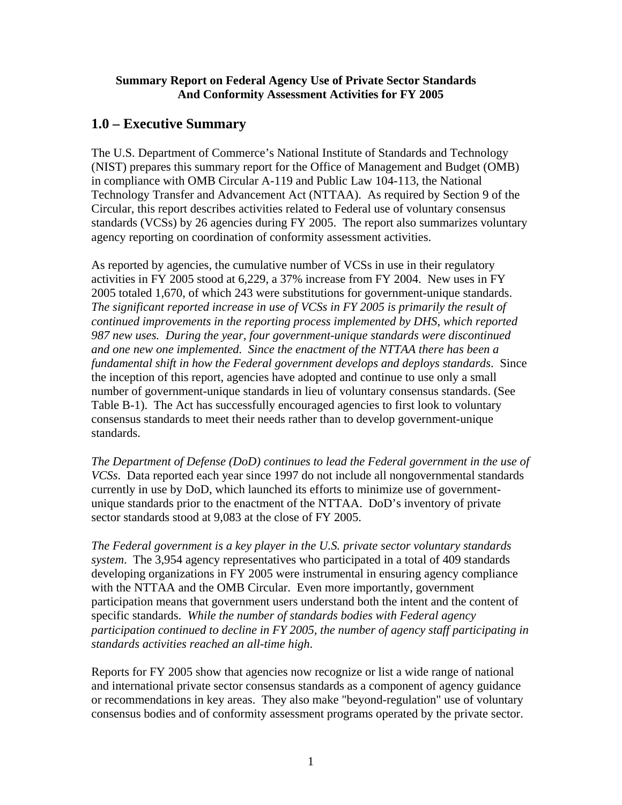# <span id="page-4-0"></span>**Summary Report on Federal Agency Use of Private Sector Standards And Conformity Assessment Activities for FY 2005**

# **1.0 – Executive Summary**

The U.S. Department of Commerce's National Institute of Standards and Technology (NIST) prepares this summary report for the Office of Management and Budget (OMB) in compliance with OMB Circular A-119 and Public Law 104-113, the National Technology Transfer and Advancement Act (NTTAA). As required by Section 9 of the Circular, this report describes activities related to Federal use of voluntary consensus standards (VCSs) by 26 agencies during FY 2005. The report also summarizes voluntary agency reporting on coordination of conformity assessment activities.

As reported by agencies, the cumulative number of VCSs in use in their regulatory activities in FY 2005 stood at 6,229, a 37% increase from FY 2004. New uses in FY 2005 totaled 1,670, of which 243 were substitutions for government-unique standards. *The significant reported increase in use of VCSs in FY 2005 is primarily the result of continued improvements in the reporting process implemented by DHS, which reported 987 new uses. During the year, four government-unique standards were discontinued and one new one implemented. Since the enactment of the NTTAA there has been a fundamental shift in how the Federal government develops and deploys standards*. Since the inception of this report, agencies have adopted and continue to use only a small number of government-unique standards in lieu of voluntary consensus standards. (See Table B-1). The Act has successfully encouraged agencies to first look to voluntary consensus standards to meet their needs rather than to develop government-unique standards.

*The Department of Defense (DoD) continues to lead the Federal government in the use of VCSs*. Data reported each year since 1997 do not include all nongovernmental standards currently in use by DoD, which launched its efforts to minimize use of governmentunique standards prior to the enactment of the NTTAA. DoD's inventory of private sector standards stood at 9,083 at the close of FY 2005.

*The Federal government is a key player in the U.S. private sector voluntary standards system*. The 3,954 agency representatives who participated in a total of 409 standards developing organizations in FY 2005 were instrumental in ensuring agency compliance with the NTTAA and the OMB Circular. Even more importantly, government participation means that government users understand both the intent and the content of specific standards. *While the number of standards bodies with Federal agency participation continued to decline in FY 2005, the number of agency staff participating in standards activities reached an all-time high*.

Reports for FY 2005 show that agencies now recognize or list a wide range of national and international private sector consensus standards as a component of agency guidance or recommendations in key areas. They also make "beyond-regulation" use of voluntary consensus bodies and of conformity assessment programs operated by the private sector.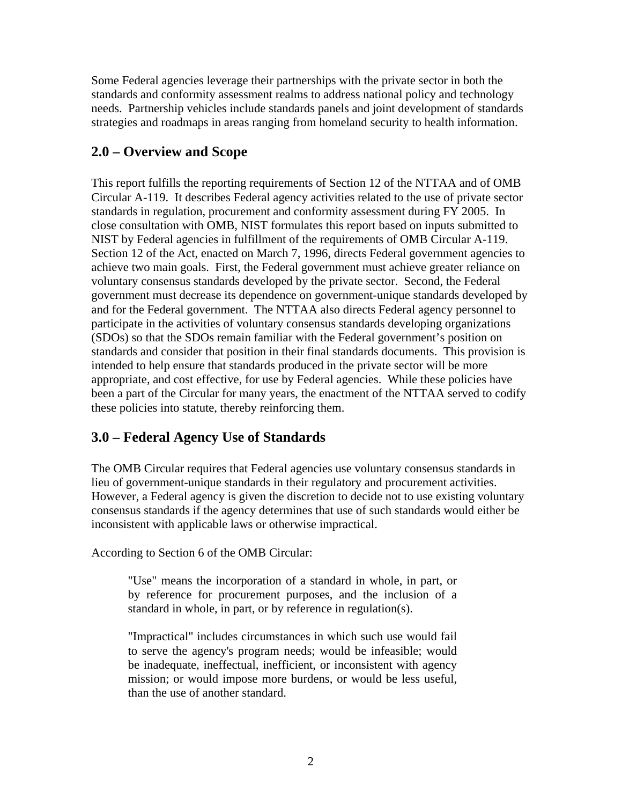<span id="page-5-0"></span>Some Federal agencies leverage their partnerships with the private sector in both the standards and conformity assessment realms to address national policy and technology needs. Partnership vehicles include standards panels and joint development of standards strategies and roadmaps in areas ranging from homeland security to health information.

# **2.0 – Overview and Scope**

This report fulfills the reporting requirements of Section 12 of the NTTAA and of OMB Circular A-119. It describes Federal agency activities related to the use of private sector standards in regulation, procurement and conformity assessment during FY 2005. In close consultation with OMB, NIST formulates this report based on inputs submitted to NIST by Federal agencies in fulfillment of the requirements of OMB Circular A-119. Section 12 of the Act, enacted on March 7, 1996, directs Federal government agencies to achieve two main goals. First, the Federal government must achieve greater reliance on voluntary consensus standards developed by the private sector. Second, the Federal government must decrease its dependence on government-unique standards developed by and for the Federal government. The NTTAA also directs Federal agency personnel to participate in the activities of voluntary consensus standards developing organizations (SDOs) so that the SDOs remain familiar with the Federal government's position on standards and consider that position in their final standards documents. This provision is intended to help ensure that standards produced in the private sector will be more appropriate, and cost effective, for use by Federal agencies. While these policies have been a part of the Circular for many years, the enactment of the NTTAA served to codify these policies into statute, thereby reinforcing them.

# **3.0 – Federal Agency Use of Standards**

The OMB Circular requires that Federal agencies use voluntary consensus standards in lieu of government-unique standards in their regulatory and procurement activities. However, a Federal agency is given the discretion to decide not to use existing voluntary consensus standards if the agency determines that use of such standards would either be inconsistent with applicable laws or otherwise impractical.

According to Section 6 of the OMB Circular:

"Use" means the incorporation of a standard in whole, in part, or by reference for procurement purposes, and the inclusion of a standard in whole, in part, or by reference in regulation(s).

 "Impractical" includes circumstances in which such use would fail to serve the agency's program needs; would be infeasible; would be inadequate, ineffectual, inefficient, or inconsistent with agency mission; or would impose more burdens, or would be less useful, than the use of another standard.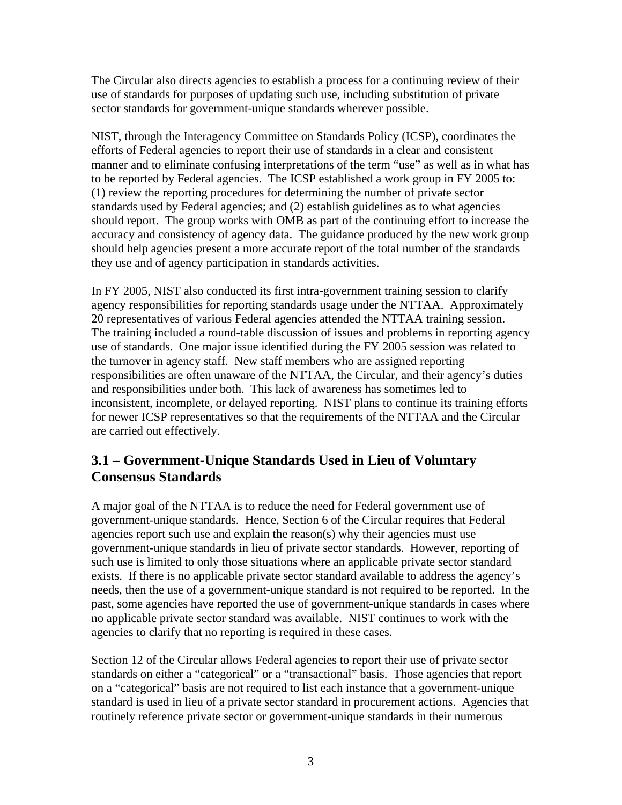<span id="page-6-0"></span>The Circular also directs agencies to establish a process for a continuing review of their use of standards for purposes of updating such use, including substitution of private sector standards for government-unique standards wherever possible.

NIST, through the Interagency Committee on Standards Policy (ICSP), coordinates the efforts of Federal agencies to report their use of standards in a clear and consistent manner and to eliminate confusing interpretations of the term "use" as well as in what has to be reported by Federal agencies. The ICSP established a work group in FY 2005 to: (1) review the reporting procedures for determining the number of private sector standards used by Federal agencies; and (2) establish guidelines as to what agencies should report. The group works with OMB as part of the continuing effort to increase the accuracy and consistency of agency data. The guidance produced by the new work group should help agencies present a more accurate report of the total number of the standards they use and of agency participation in standards activities.

In FY 2005, NIST also conducted its first intra-government training session to clarify agency responsibilities for reporting standards usage under the NTTAA. Approximately 20 representatives of various Federal agencies attended the NTTAA training session. The training included a round-table discussion of issues and problems in reporting agency use of standards. One major issue identified during the FY 2005 session was related to the turnover in agency staff. New staff members who are assigned reporting responsibilities are often unaware of the NTTAA, the Circular, and their agency's duties and responsibilities under both. This lack of awareness has sometimes led to inconsistent, incomplete, or delayed reporting. NIST plans to continue its training efforts for newer ICSP representatives so that the requirements of the NTTAA and the Circular are carried out effectively.

# **3.1 – Government-Unique Standards Used in Lieu of Voluntary Consensus Standards**

A major goal of the NTTAA is to reduce the need for Federal government use of government-unique standards. Hence, Section 6 of the Circular requires that Federal agencies report such use and explain the reason(s) why their agencies must use government-unique standards in lieu of private sector standards. However, reporting of such use is limited to only those situations where an applicable private sector standard exists. If there is no applicable private sector standard available to address the agency's needs, then the use of a government-unique standard is not required to be reported. In the past, some agencies have reported the use of government-unique standards in cases where no applicable private sector standard was available. NIST continues to work with the agencies to clarify that no reporting is required in these cases.

Section 12 of the Circular allows Federal agencies to report their use of private sector standards on either a "categorical" or a "transactional" basis. Those agencies that report on a "categorical" basis are not required to list each instance that a government-unique standard is used in lieu of a private sector standard in procurement actions. Agencies that routinely reference private sector or government-unique standards in their numerous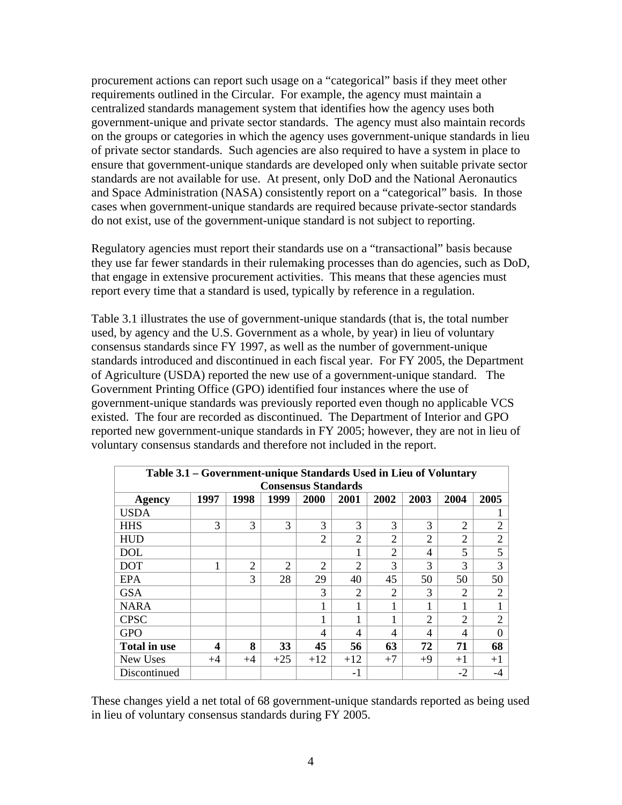procurement actions can report such usage on a "categorical" basis if they meet other requirements outlined in the Circular. For example, the agency must maintain a centralized standards management system that identifies how the agency uses both government-unique and private sector standards. The agency must also maintain records on the groups or categories in which the agency uses government-unique standards in lieu of private sector standards. Such agencies are also required to have a system in place to ensure that government-unique standards are developed only when suitable private sector standards are not available for use. At present, only DoD and the National Aeronautics and Space Administration (NASA) consistently report on a "categorical" basis. In those cases when government-unique standards are required because private-sector standards do not exist, use of the government-unique standard is not subject to reporting.

Regulatory agencies must report their standards use on a "transactional" basis because they use far fewer standards in their rulemaking processes than do agencies, such as DoD, that engage in extensive procurement activities. This means that these agencies must report every time that a standard is used, typically by reference in a regulation.

Table 3.1 illustrates the use of government-unique standards (that is, the total number used, by agency and the U.S. Government as a whole, by year) in lieu of voluntary consensus standards since FY 1997, as well as the number of government-unique standards introduced and discontinued in each fiscal year. For FY 2005, the Department of Agriculture (USDA) reported the new use of a government-unique standard. The Government Printing Office (GPO) identified four instances where the use of government-unique standards was previously reported even though no applicable VCS existed. The four are recorded as discontinued. The Department of Interior and GPO reported new government-unique standards in FY 2005; however, they are not in lieu of voluntary consensus standards and therefore not included in the report.

| Table 3.1 - Government-unique Standards Used in Lieu of Voluntary |      |                |                |                |                |                |                |                |                |
|-------------------------------------------------------------------|------|----------------|----------------|----------------|----------------|----------------|----------------|----------------|----------------|
| <b>Consensus Standards</b>                                        |      |                |                |                |                |                |                |                |                |
| Agency                                                            | 1997 | 1998           | 1999           | 2000           | 2001           | 2002           | 2003           | 2004           | 2005           |
| <b>USDA</b>                                                       |      |                |                |                |                |                |                |                |                |
| <b>HHS</b>                                                        | 3    | 3              | 3              | $\mathcal{R}$  | 3              | 3              | 3              | $\overline{2}$ | $\overline{2}$ |
| <b>HUD</b>                                                        |      |                |                | $\overline{2}$ | $\overline{2}$ | $\overline{2}$ | $\overline{2}$ | $\overline{2}$ | $\overline{2}$ |
| <b>DOL</b>                                                        |      |                |                |                | 1              | $\overline{2}$ | 4              | 5              | 5              |
| <b>DOT</b>                                                        |      | $\overline{2}$ | $\overline{2}$ | $\overline{2}$ | $\overline{2}$ | 3              | 3              | 3              | 3              |
| <b>EPA</b>                                                        |      | 3              | 28             | 29             | 40             | 45             | 50             | 50             | 50             |
| <b>GSA</b>                                                        |      |                |                | 3              | $\overline{2}$ | $\overline{2}$ | 3              | $\overline{2}$ | $\overline{2}$ |
| <b>NARA</b>                                                       |      |                |                |                | 1              |                | 1              | 1              |                |
| <b>CPSC</b>                                                       |      |                |                | 1              | 1              |                | $\overline{2}$ | $\overline{2}$ | $\overline{2}$ |
| <b>GPO</b>                                                        |      |                |                | 4              | 4              | 4              | 4              | 4              | $\theta$       |
| <b>Total in use</b>                                               | 4    | 8              | 33             | 45             | 56             | 63             | 72             | 71             | 68             |
| New Uses                                                          | $+4$ | $+4$           | $+25$          | $+12$          | $+12$          | $+7$           | $+9$           | $+1$           | $+1$           |
| Discontinued                                                      |      |                |                |                | -1             |                |                | $-2$           | -4             |

These changes yield a net total of 68 government-unique standards reported as being used in lieu of voluntary consensus standards during FY 2005.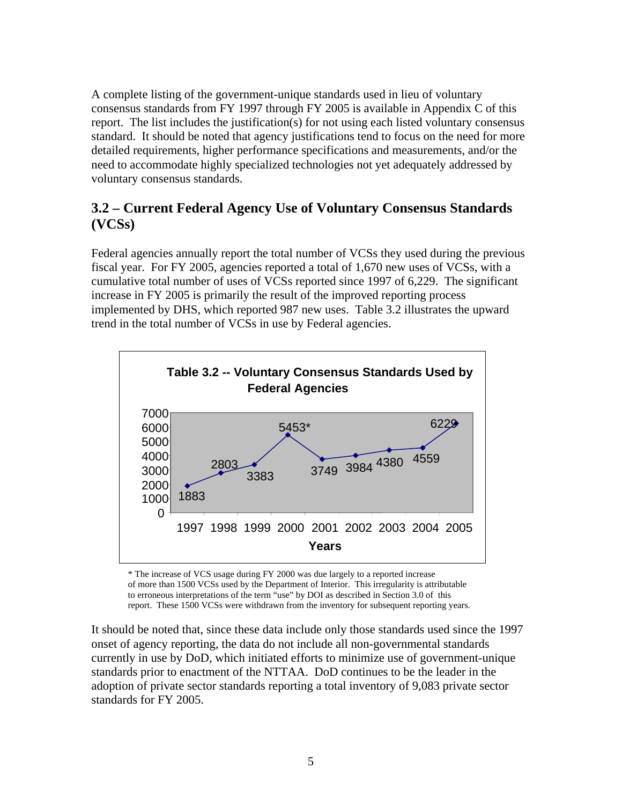<span id="page-8-0"></span>A complete listing of the government-unique standards used in lieu of voluntary consensus standards from FY 1997 through FY 2005 is available in Appendix C of this report. The list includes the justification(s) for not using each listed voluntary consensus standard. It should be noted that agency justifications tend to focus on the need for more detailed requirements, higher performance specifications and measurements, and/or the need to accommodate highly specialized technologies not yet adequately addressed by voluntary consensus standards.

# **3.2 – Current Federal Agency Use of Voluntary Consensus Standards (VCSs)**

Federal agencies annually report the total number of VCSs they used during the previous fiscal year. For FY 2005, agencies reported a total of 1,670 new uses of VCSs, with a cumulative total number of uses of VCSs reported since 1997 of 6,229. The significant increase in FY 2005 is primarily the result of the improved reporting process implemented by DHS, which reported 987 new uses. Table 3.2 illustrates the upward trend in the total number of VCSs in use by Federal agencies.



\* The increase of VCS usage during FY 2000 was due largely to a reported increase of more than 1500 VCSs used by the Department of Interior. This irregularity is attributable to erroneous interpretations of the term "use" by DOI as described in Section 3.0 of this report. These 1500 VCSs were withdrawn from the inventory for subsequent reporting years.

It should be noted that, since these data include only those standards used since the 1997 onset of agency reporting, the data do not include all non-governmental standards currently in use by DoD, which initiated efforts to minimize use of government-unique standards prior to enactment of the NTTAA. DoD continues to be the leader in the adoption of private sector standards reporting a total inventory of 9,083 private sector standards for FY 2005.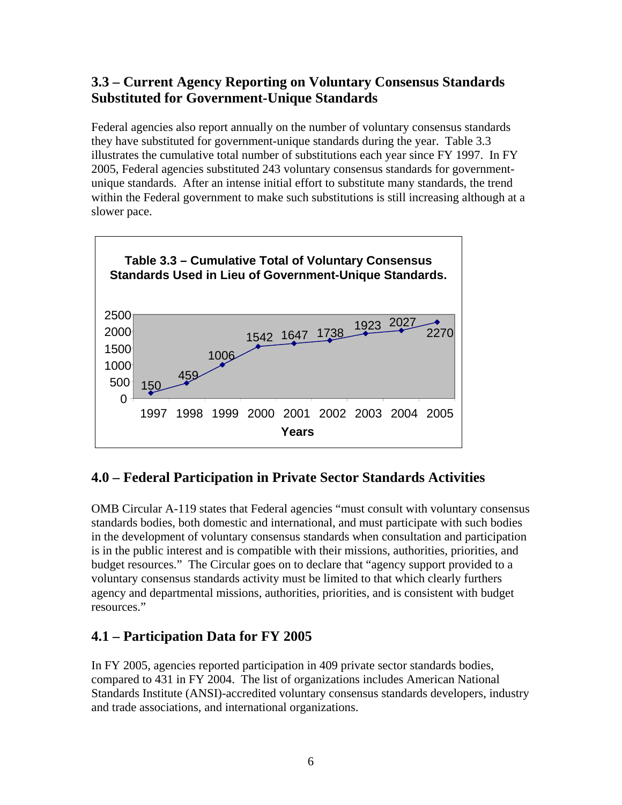# <span id="page-9-0"></span>**3.3 – Current Agency Reporting on Voluntary Consensus Standards Substituted for Government-Unique Standards**

Federal agencies also report annually on the number of voluntary consensus standards they have substituted for government-unique standards during the year. Table 3.3 illustrates the cumulative total number of substitutions each year since FY 1997. In FY 2005, Federal agencies substituted 243 voluntary consensus standards for governmentunique standards. After an intense initial effort to substitute many standards, the trend within the Federal government to make such substitutions is still increasing although at a slower pace.



# **4.0 – Federal Participation in Private Sector Standards Activities**

OMB Circular A-119 states that Federal agencies "must consult with voluntary consensus standards bodies, both domestic and international, and must participate with such bodies in the development of voluntary consensus standards when consultation and participation is in the public interest and is compatible with their missions, authorities, priorities, and budget resources." The Circular goes on to declare that "agency support provided to a voluntary consensus standards activity must be limited to that which clearly furthers agency and departmental missions, authorities, priorities, and is consistent with budget resources."

# **4.1 – Participation Data for FY 2005**

In FY 2005, agencies reported participation in 409 private sector standards bodies, compared to 431 in FY 2004. The list of organizations includes American National Standards Institute (ANSI)-accredited voluntary consensus standards developers, industry and trade associations, and international organizations.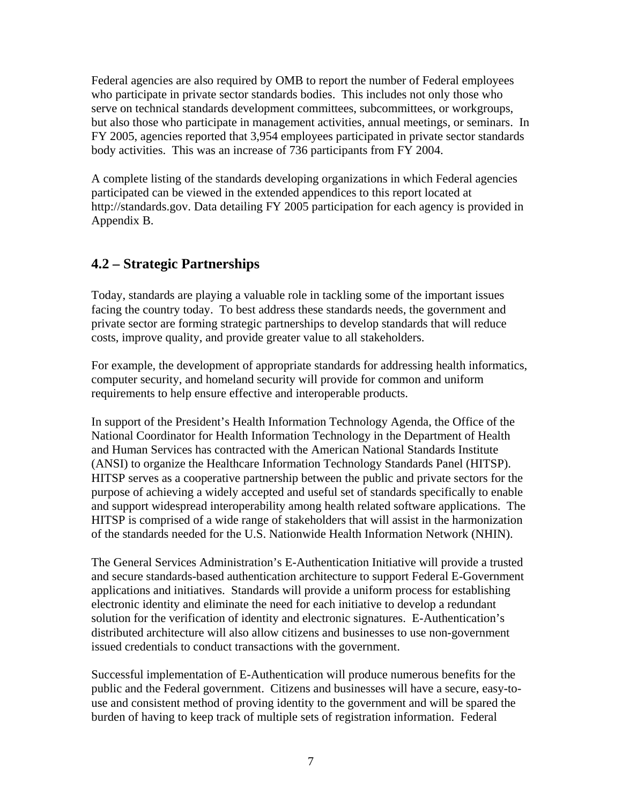<span id="page-10-0"></span>Federal agencies are also required by OMB to report the number of Federal employees serve on technical standards development committees, subcommittees, or workgroups, but also those who participate in management activities, annual meetings, or seminars. In who participate in private sector standards bodies. This includes not only those who FY 2005, agencies reported that 3,954 employees participated in private sector standards body activities. This was an increase of 736 participants from FY 2004.

A complete listing of the standards developing organizations in which Federal agencies http://standards.gov. Data detailing FY 2005 participation for each agency is provided in participated can be viewed in the extended appendices to this report located at Appendix B.

# **.2 – Strategic Partnerships 4**

Today, standards are playing a valuable role in tackling some of the important issues facing the country today. To best address these standards needs, the government and private sector are forming strategic partnerships to develop standards that will reduce costs, improve quality, and provide greater value to all stakeholders.

For example, the development of appropriate standards for addressing health informatics, computer security, and homeland security will provide for common and uniform requirements to help ensure effective and interoperable products.

In support of the President's Health Information Technology Agenda, the Office of the (ANSI) to organize the Healthcare Information Technology Standards Panel (HITSP). National Coordinator for Health Information Technology in the Department of Health and Human Services has contracted with the American National Standards Institute HITSP serves as a cooperative partnership between the public and private sectors for the purpose of achieving a widely accepted and useful set of standards specifically to enable and support widespread interoperability among health related software applications. The HITSP is comprised of a wide range of stakeholders that will assist in the harmonization of the standards needed for the U.S. Nationwide Health Information Network (NHIN).

The General Services Administration's E-Authentication Initiative will provide a trusted and secure standards-based authentication architecture to support Federal E-Government applications and initiatives. Standards will provide a uniform process for establishing electronic identity and eliminate the need for each initiative to develop a redundant solution for the verification of identity and electronic signatures. E-Authentication's distributed architecture will also allow citizens and businesses to use non-government issued credentials to conduct transactions with the government.

Successful implementation of E-Authentication will produce numerous benefits for the public and the Federal government. Citizens and businesses will have a secure, easy-touse and consistent method of proving identity to the government and will be spared the burden of having to keep track of multiple sets of registration information. Federal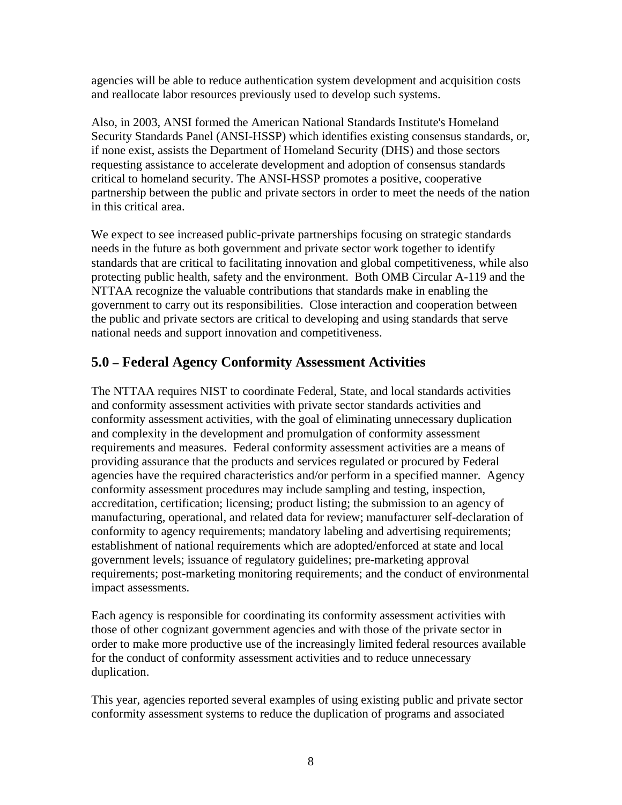<span id="page-11-0"></span>agencies will be able to reduce authentication system development and acquisition c osts and reallocate labor resources previously used to develop such systems.

Also, in 2003, ANSI formed the American National Standards Institute's Homeland Security Standards Panel (ANSI-HSSP) which identifies existing consensus standards, or, partnership between the public and private sectors in order to meet the needs of the nation if none exist, assists the Department of Homeland Security (DHS) and those sectors requesting assistance to accelerate development and adoption of consensus standards critical to homeland security. The ANSI-HSSP promotes a positive, cooperative in this critical area.

We expect to see increased public-private partnerships focusing on strategic standards standards that are critical to facilitating innovation and global competitiveness, while also government to carry out its responsibilities. Close interaction and cooperation between needs in the future as both government and private sector work together to identify protecting public health, safety and the environment. Both OMB Circular A-119 and the NTTAA recognize the valuable contributions that standards make in enabling the the public and private sectors are critical to developing and using standards that serve national needs and support innovation and competitiveness.

# **.0 – Federal Agency Conformity Assessment Activities 5**

The NTTAA requires NIST to coordinate Federal, State, and local standards activities conformity assessment activities, with the goal of eliminating unnecessary duplication requirements and measures. Federal conformity assessment activities are a means of agencies have the required characteristics and/or perform in a specified manner. Agency accreditation, certification; licensing; product listing; the submission to an agency of manufacturing, operational, and related data for review; manufacturer self-declaration of requirements; post-marketing monitoring requirements; and the conduct of environmental and conformity assessment activities with private sector standards activities and and complexity in the development and promulgation of conformity assessment providing assurance that the products and services regulated or procured by Federal conformity assessment procedures may include sampling and testing, inspection, conformity to agency requirements; mandatory labeling and advertising requirements; establishment of national requirements which are adopted/enforced at state and local government levels; issuance of regulatory guidelines; pre-marketing approval impact assessments.

Each agency is responsible for coordinating its conformity assessment activities with order to make more productive use of the increasingly limited federal resources available those of other cognizant government agencies and with those of the private sector in for the conduct of conformity assessment activities and to reduce unnecessary duplication.

This year, agencies reported several examples of using existing public and private sector conformity assessment systems to reduce the duplication of programs and associated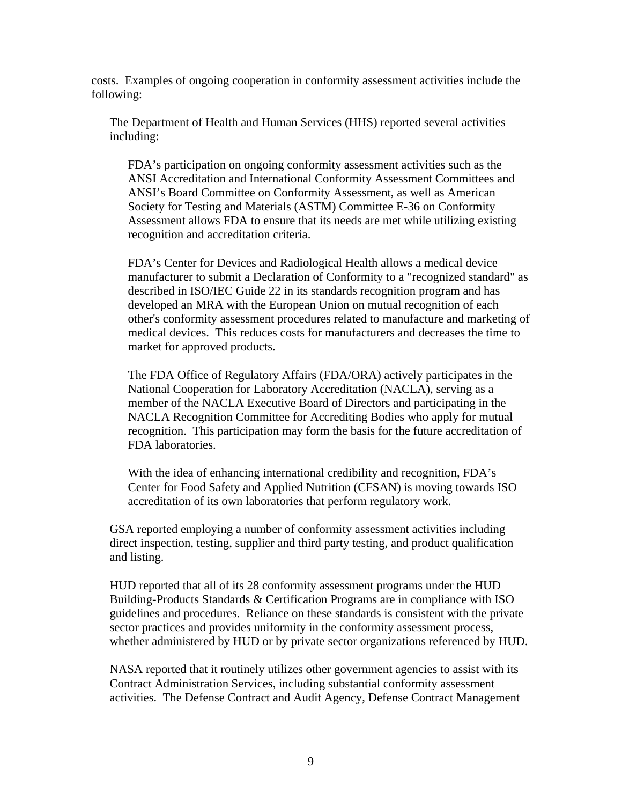costs. Examples of ongoing cooperation in conformity assessment activities include the following:

The Department of Health and Human Services (HHS) reported several activities including:

FDA's participation on ongoing conformity assessment activities such as the ANSI Accreditation and International Conformity Assessment Committees and Assessment allows FDA to ensure that its needs are met while utilizing existing ANSI's Board Committee on Conformity Assessment, as well as American Society for Testing and Materials (ASTM) Committee E-36 on Conformity recognition and accreditation criteria.

FDA's Center for Devices and Radiological Health allows a medical device manufacturer to submit a Declaration of Conformity to a "recognized standard" as other's conformity assessment procedures related to manufacture and marketing of medical devices. This reduces costs for manufacturers and decreases the time to described in ISO/IEC Guide 22 in its standards recognition program and has developed an MRA with the European Union on mutual recognition of each market for approved products.

The FDA Office of Regulatory Affairs (FDA/ORA) actively participates in the National Cooperation for Laboratory Accreditation (NACLA), serving as a NACLA Recognition Committee for Accrediting Bodies who apply for mutual recognition. This participation may form the basis for the future accreditation of member of the NACLA Executive Board of Directors and participating in the FDA laboratories.

With the idea of enhancing international credibility and recognition, FDA's Center for Food Safety and Applied Nutrition (CFSAN) is moving towards ISO accreditation of its own laboratories that perform regulatory work.

GSA reported employing a number of conformity assessment activities including direct inspection, testing, supplier and third party testing, and product qualification and listing.

HUD reported that all of its 28 conformity assessment programs under the HUD Building-Products Standards & Certification Programs are in compliance with ISO guidelines and procedures. Reliance on these standards is consistent with the private sector practices and provides uniformity in the conformity assessment process, whether administered by HUD or by private sector organizations referenced by HUD.

Contract Administration Services, including substantial conformity assessment NASA reported that it routinely utilizes other government agencies to assist with its activities. The Defense Contract and Audit Agency, Defense Contract Management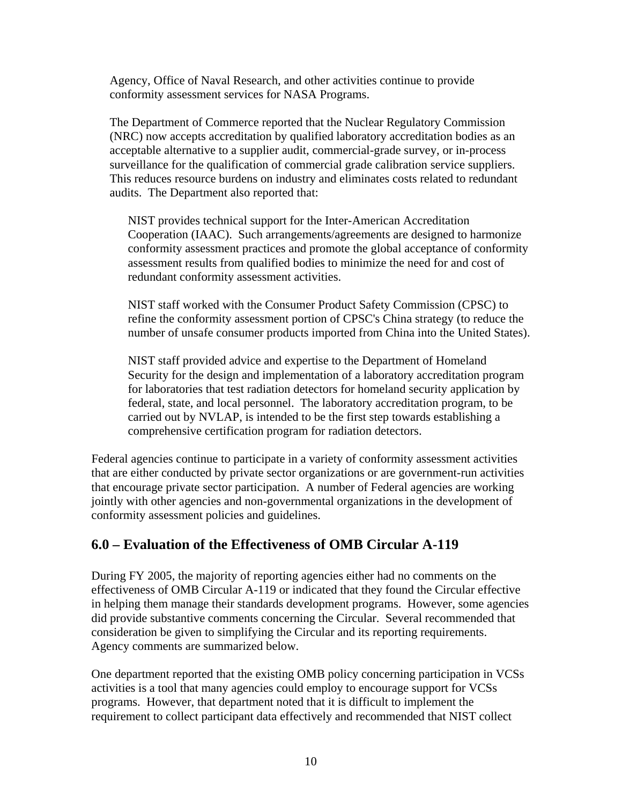<span id="page-13-0"></span>Agency, Office of Naval Research, and other activities continue to provide conformity assessment services for NASA Programs.

The Department of Commerce reported that the Nuclear Regulatory Commission surveillance for the qualification of commercial grade calibration service suppliers. (NRC) now accepts accreditation by qualified laboratory accreditation bodies as an acceptable alternative to a supplier audit, commercial-grade survey, or in-process This reduces resource burdens on industry and eliminates costs related to redundant audits. The Department also reported that:

Cooperation (IAAC). Such arrangements/agreements are designed to harmonize NIST provides technical support for the Inter-American Accreditation conformity assessment practices and promote the global acceptance of conformity assessment results from qualified bodies to minimize the need for and cost of redundant conformity assessment activities.

NIST staff worked with the Consumer Product Safety Commission (CPSC) to refine the conformity assessment portion of CPSC's China strategy (to reduce the number of unsafe consumer products imported from China into the United States).

NIST staff provided advice and expertise to the Department of Homeland Security for the design and implementation of a laboratory accreditation program for laboratories that test radiation detectors for homeland security application by federal, state, and local personnel. The laboratory accreditation program, to be carried out by NVLAP, is intended to be the first step towards establishing a comprehensive certification program for radiation detectors.

Federal agencies continue to participate in a variety of conformity assessment activities that are either conducted by private sector organizations or are government-run activities that encourage private sector participation. A number of Federal agencies are working jointly with other agencies and non-governmental organizations in the development of conformity assessment policies and guidelines.

# **.0 – Evaluation of the Effectiveness of OMB Circular A-119 6**

During FY 2005, the majority of reporting agencies either had no comments on the effectiveness of OMB Circular A-119 or indicated that they found the Circular effective in helping them manage their standards development programs. However, some agencies did provide substantive comments concerning the Circular. Several recommended that consideration be given to simplifying the Circular and its reporting requirements. Agency comments are summarized below.

One department reported that the existing OMB policy concerning participation in VCSs requirement to collect participant data effectively and recommended that NIST collect activities is a tool that many agencies could employ to encourage support for VCSs programs. However, that department noted that it is difficult to implement the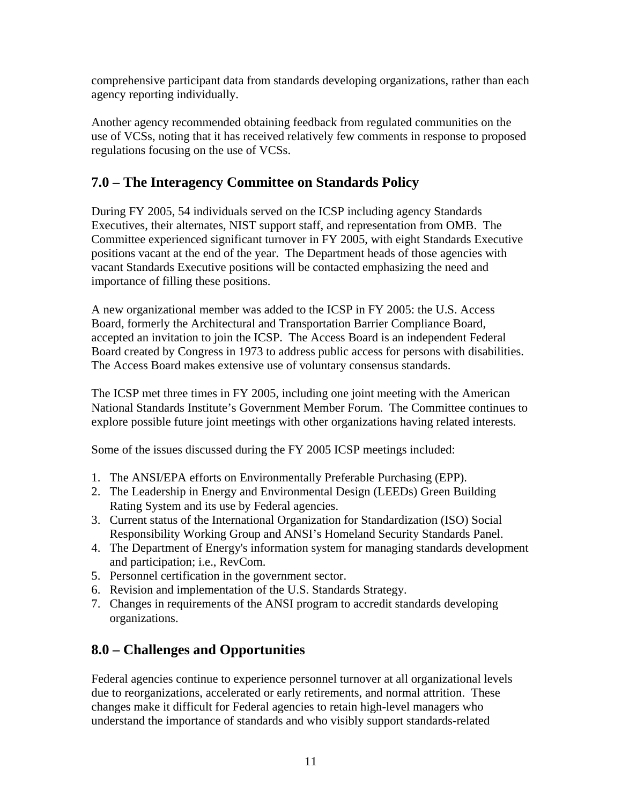<span id="page-14-0"></span>comprehensive participant data from standards developing organizations, rather than ea ch agency reporting individually.

Another agency recommended obtaining feedback from regulated communities on the use of VCSs, noting that it has received relatively few comments in response to proposed regulations focusing on the use of VCSs.

# **.0 – The Interagency Committee on Standards Policy 7**

During FY 2005, 54 individuals served on the ICSP including agency Standards Executives, their alternates, NIST support staff, and representation from OMB. The Committee experienced significant turnover in FY 2005, with eight Standards Executive positions vacant at the end of the year. The Department heads of those agencies with vacant Standards Executive positions will be contacted emphasizing the need and importance of filling these positions.

A new organizational member was added to the ICSP in FY 2005: the U.S. Access accepted an invitation to join the ICSP. The Access Board is an independent Federal Board created by Congress in 1973 to address public access for persons with disabilities. Board, formerly the Architectural and Transportation Barrier Compliance Board, The Access Board makes extensive use of voluntary consensus standards.

The ICSP met three times in FY 2005, including one joint meeting with the American National Standards Institute's Government Member Forum. The Committee continues to explore possible future joint meetings with other organizations having related interests.

Some of the issues discussed during the FY 2005 ICSP meetings included:

- . The ANSI/EPA efforts on Environmentally Preferable Purchasing (EPP). 1
- 2. The Leadership in Energy and Environmental Design (LEEDs) Green Building Rating System and its use by Federal agencies.
- 3. Current status of the International Organization for Standardization (ISO) Social Responsibility Working Group and ANSI's Homeland Security Standards Panel.
- 4. The Department of Energy's information system for managing standards development and participation; i.e., RevCom.
- 5. Personnel certification in the government sector.
- 6. Revision and implementation of the U.S. Standards Strategy.
- 7. Changes in requirements of the ANSI program to accredit standards developing organizations.

# **.0 – Challenges and Opportunities 8**

Federal agencies continue to experience personnel turnover at all organizational levels due to reorganizations, accelerated or early retirements, and normal attrition. These changes make it difficult for Federal agencies to retain high-level managers who understand the importance of standards and who visibly support standards-related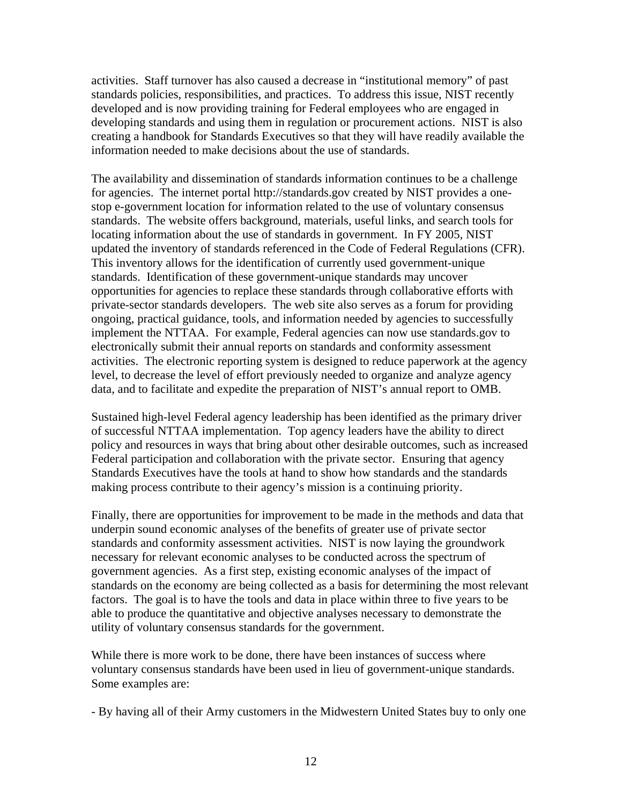activities. Staff turnover has also caused a decrease in "institutional memory" of p ast standards policies, responsibilities, and practices. To address this issue, NIST recently developed and is now providing training for Federal employees who are engaged in developing standards and using them in regulation or procurement actions. NIST is a lso creating a handbook for Standards Executives so that they will have readily available the information needed to make decisions about the use of standards.

The availability and dissemination of standards information continues to be a challenge standards. The website offers background, materials, useful links, and search tools for updated the inventory of standards referenced in the Code of Federal Regulations (CFR). opportunities for agencies to replace these standards through collaborative efforts with activities. The electronic reporting system is designed to reduce paperwork at the agency for agencies. The internet portal http://standards.gov created by NIST provides a onestop e-government location for information related to the use of voluntary consensus locating information about the use of standards in government. In FY 2005, NIST This inventory allows for the identification of currently used government-unique standards. Identification of these government-unique standards may uncover private-sector standards developers. The web site also serves as a forum for providing ongoing, practical guidance, tools, and information needed by agencies to successfully implement the NTTAA. For example, Federal agencies can now use standards.gov to electronically submit their annual reports on standards and conformity assessment level, to decrease the level of effort previously needed to organize and analyze agency data, and to facilitate and expedite the preparation of NIST's annual report to OMB.

Sustained high-level Federal agency leadership has been identified as the primary driver policy and resources in ways that bring about other desirable outcomes, such as increased of successful NTTAA implementation. Top agency leaders have the ability to direct Federal participation and collaboration with the private sector. Ensuring that agency Standards Executives have the tools at hand to show how standards and the standards making process contribute to their agency's mission is a continuing priority.

Finally, there are opportunities for improvement to be made in the methods and data that standards and conformity assessment activities. NIST is now laying the groundwork standards on the economy are being collected as a basis for determining the most relevant underpin sound economic analyses of the benefits of greater use of private sector necessary for relevant economic analyses to be conducted across the spectrum of government agencies. As a first step, existing economic analyses of the impact of factors. The goal is to have the tools and data in place within three to five years to be able to produce the quantitative and objective analyses necessary to demonstrate the utility of voluntary consensus standards for the government.

While there is more work to be done, there have been instances of success where voluntary consensus standards have been used in lieu of government-unique standards. Some examples are:

- By having all of their Army customers in the Midwestern United States buy to only one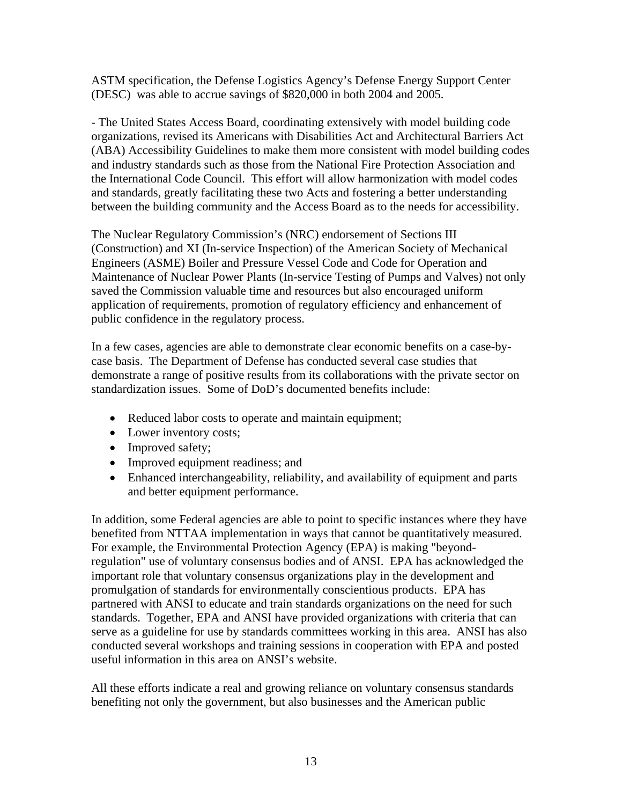ASTM specification, the Defense Logistics Agency's Defense Energy Support Center (DESC) was able to accrue savings of \$820,000 in both 2004 and 2005.

- The United States Access Board, coordinating extensively with model building code organizations, revised its Americans with Disabilities Act and Architectural Barriers Act between the building community and the Access Board as to the needs for accessibility. (ABA) Accessibility Guidelines to make them more consistent with model building codes and industry standards such as those from the National Fire Protection Association and the International Code Council. This effort will allow harmonization with model codes and standards, greatly facilitating these two Acts and fostering a better understanding

The Nuclear Regulatory Commission's (NRC) endorsement of Sections III (Construction) and XI (In-service Inspection) of the American Society of Mechanical Maintenance of Nuclear Power Plants (In-service Testing of Pumps and Valves) not only application of requirements, promotion of regulatory efficiency and enhancement of Engineers (ASME) Boiler and Pressure Vessel Code and Code for Operation and saved the Commission valuable time and resources but also encouraged uniform public confidence in the regulatory process.

In a few cases, agencies are able to demonstrate clear economic benefits on a case-bydemonstrate a range of positive results from its collaborations with the private sector on case basis. The Department of Defense has conducted several case studies that standardization issues. Some of DoD's documented benefits include:

- Reduced labor costs to operate and maintain equipment;
- Lower inventory costs;
- Improved safety;
- Improved equipment readiness; and
- Enhanced interchangeability, reliability, and availability of equipment and parts and better equipment performance.

In addition, some Federal agencies are able to point to specific instances where they have regulation" use of voluntary consensus bodies and of ANSI. EPA has acknowledged the partnered with ANSI to educate and train standards organizations on the need for such benefited from NTTAA implementation in ways that cannot be quantitatively measured. For example, the Environmental Protection Agency (EPA) is making "beyondimportant role that voluntary consensus organizations play in the development and promulgation of standards for environmentally conscientious products. EPA has standards. Together, EPA and ANSI have provided organizations with criteria that can serve as a guideline for use by standards committees working in this area. ANSI has also conducted several workshops and training sessions in cooperation with EPA and posted useful information in this area on ANSI's website.

All these efforts indicate a real and growing reliance on voluntary consensus standards benefiting not only the government, but also businesses and the American public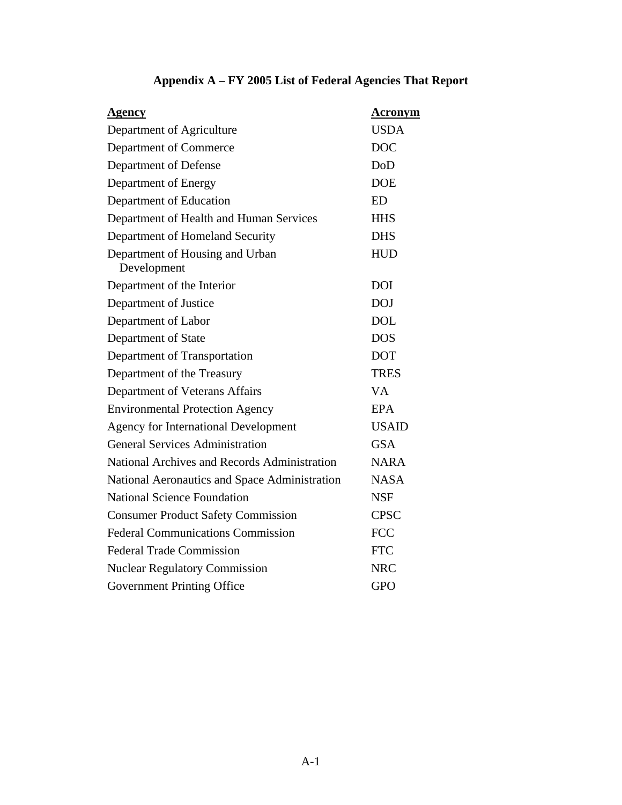<span id="page-17-0"></span>

| Agency                                         | Acronym      |
|------------------------------------------------|--------------|
| Department of Agriculture                      | <b>USDA</b>  |
| Department of Commerce                         | <b>DOC</b>   |
| Department of Defense                          | <b>DoD</b>   |
| Department of Energy                           | <b>DOE</b>   |
| Department of Education                        | <b>ED</b>    |
| Department of Health and Human Services        | <b>HHS</b>   |
| Department of Homeland Security                | <b>DHS</b>   |
| Department of Housing and Urban<br>Development | <b>HUD</b>   |
| Department of the Interior                     | <b>DOI</b>   |
| Department of Justice                          | <b>DOJ</b>   |
| Department of Labor                            | <b>DOL</b>   |
| Department of State                            | <b>DOS</b>   |
| Department of Transportation                   | <b>DOT</b>   |
| Department of the Treasury                     | <b>TRES</b>  |
| Department of Veterans Affairs                 | <b>VA</b>    |
| <b>Environmental Protection Agency</b>         | EPA          |
| <b>Agency for International Development</b>    | <b>USAID</b> |
| <b>General Services Administration</b>         | <b>GSA</b>   |
| National Archives and Records Administration   | <b>NARA</b>  |
| National Aeronautics and Space Administration  | <b>NASA</b>  |
| <b>National Science Foundation</b>             | <b>NSF</b>   |
| <b>Consumer Product Safety Commission</b>      | <b>CPSC</b>  |
| <b>Federal Communications Commission</b>       | <b>FCC</b>   |
| <b>Federal Trade Commission</b>                | <b>FTC</b>   |
| <b>Nuclear Regulatory Commission</b>           | <b>NRC</b>   |
| <b>Government Printing Office</b>              | <b>GPO</b>   |

# **Appendix A – FY 2005 List of Federal Agencies That Report**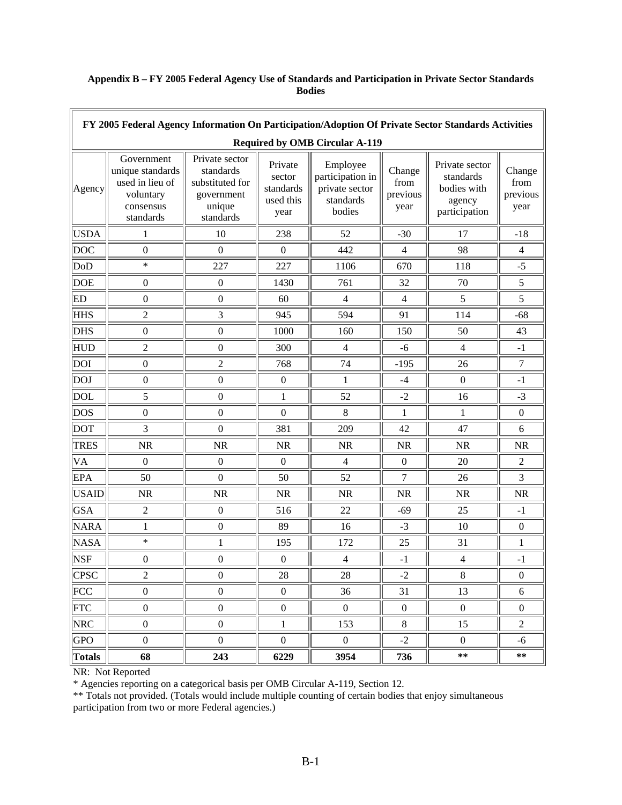| FY 2005 Federal Agency Information On Participation/Adoption Of Private Sector Standards Activities |                                                                                          |                                                                                     |                                                     |                                                                       |                                    |                                                                       |                                    |
|-----------------------------------------------------------------------------------------------------|------------------------------------------------------------------------------------------|-------------------------------------------------------------------------------------|-----------------------------------------------------|-----------------------------------------------------------------------|------------------------------------|-----------------------------------------------------------------------|------------------------------------|
| <b>Required by OMB Circular A-119</b>                                                               |                                                                                          |                                                                                     |                                                     |                                                                       |                                    |                                                                       |                                    |
| Agency                                                                                              | Government<br>unique standards<br>used in lieu of<br>voluntary<br>consensus<br>standards | Private sector<br>standards<br>substituted for<br>government<br>unique<br>standards | Private<br>sector<br>standards<br>used this<br>year | Employee<br>participation in<br>private sector<br>standards<br>bodies | Change<br>from<br>previous<br>year | Private sector<br>standards<br>bodies with<br>agency<br>participation | Change<br>from<br>previous<br>year |
| <b>USDA</b>                                                                                         | 1                                                                                        | 10                                                                                  | 238                                                 | 52                                                                    | $-30$                              | 17                                                                    | $-18$                              |
| <b>DOC</b>                                                                                          | $\boldsymbol{0}$                                                                         | $\boldsymbol{0}$                                                                    | $\boldsymbol{0}$                                    | 442                                                                   | $\overline{4}$                     | 98                                                                    | $\overline{4}$                     |
| DoD                                                                                                 | $\ast$                                                                                   | 227                                                                                 | 227                                                 | 1106                                                                  | 670                                | 118                                                                   | $-5$                               |
| <b>DOE</b>                                                                                          | $\boldsymbol{0}$                                                                         | $\boldsymbol{0}$                                                                    | 1430                                                | 761                                                                   | 32                                 | 70                                                                    | 5                                  |
| ED                                                                                                  | $\boldsymbol{0}$                                                                         | $\boldsymbol{0}$                                                                    | 60                                                  | $\overline{4}$                                                        | $\overline{4}$                     | 5                                                                     | 5                                  |
| <b>HHS</b>                                                                                          | $\overline{2}$                                                                           | 3                                                                                   | 945                                                 | 594                                                                   | 91                                 | 114                                                                   | $-68$                              |
| <b>DHS</b>                                                                                          | $\boldsymbol{0}$                                                                         | $\boldsymbol{0}$                                                                    | 1000                                                | 160                                                                   | 150                                | 50                                                                    | 43                                 |
| <b>HUD</b>                                                                                          | $\overline{2}$                                                                           | $\boldsymbol{0}$                                                                    | 300                                                 | $\overline{4}$                                                        | $-6$                               | $\overline{4}$                                                        | $-1$                               |
| <b>DOI</b>                                                                                          | $\boldsymbol{0}$                                                                         | $\overline{2}$                                                                      | 768                                                 | 74                                                                    | $-195$                             | 26                                                                    | $\boldsymbol{7}$                   |
| <b>DOJ</b>                                                                                          | $\boldsymbol{0}$                                                                         | $\boldsymbol{0}$                                                                    | $\boldsymbol{0}$                                    | $\mathbf{1}$                                                          | $-4$                               | $\boldsymbol{0}$                                                      | $-1$                               |
| <b>DOL</b>                                                                                          | 5                                                                                        | $\boldsymbol{0}$                                                                    | $\mathbf{1}$                                        | 52                                                                    | $-2$                               | 16                                                                    | $-3$                               |
| <b>DOS</b>                                                                                          | $\boldsymbol{0}$                                                                         | $\boldsymbol{0}$                                                                    | $\boldsymbol{0}$                                    | 8                                                                     | 1                                  | 1                                                                     | $\boldsymbol{0}$                   |
| <b>DOT</b>                                                                                          | 3                                                                                        | $\boldsymbol{0}$                                                                    | 381                                                 | 209                                                                   | 42                                 | 47                                                                    | 6                                  |
| <b>TRES</b>                                                                                         | <b>NR</b>                                                                                | <b>NR</b>                                                                           | <b>NR</b>                                           | NR                                                                    | <b>NR</b>                          | <b>NR</b>                                                             | <b>NR</b>                          |
| VA                                                                                                  | $\boldsymbol{0}$                                                                         | $\boldsymbol{0}$                                                                    | $\boldsymbol{0}$                                    | $\overline{4}$                                                        | $\boldsymbol{0}$                   | 20                                                                    | $\overline{2}$                     |
| <b>EPA</b>                                                                                          | 50                                                                                       | $\boldsymbol{0}$                                                                    | 50                                                  | 52                                                                    | $\tau$                             | 26                                                                    | 3                                  |
| <b>USAID</b>                                                                                        | <b>NR</b>                                                                                | <b>NR</b>                                                                           | <b>NR</b>                                           | NR                                                                    | NR                                 | <b>NR</b>                                                             | <b>NR</b>                          |
| <b>GSA</b>                                                                                          | $\mathfrak{2}% =\mathfrak{2}\left( \mathfrak{2}\right) ^{2}$                             | $\boldsymbol{0}$                                                                    | 516                                                 | 22                                                                    | $-69$                              | 25                                                                    | $-1$                               |
| <b>NARA</b>                                                                                         | 1                                                                                        | $\boldsymbol{0}$                                                                    | 89                                                  | 16                                                                    | $-3$                               | 10                                                                    | $\boldsymbol{0}$                   |
| <b>NASA</b>                                                                                         | $\ast$                                                                                   | $\mathbf{1}$                                                                        | 195                                                 | 172                                                                   | 25                                 | 31                                                                    | 1                                  |
| <b>NSF</b>                                                                                          | $\boldsymbol{0}$                                                                         | $\boldsymbol{0}$                                                                    | $\boldsymbol{0}$                                    | $\overline{4}$                                                        | $-1$                               | $\overline{4}$                                                        | $-1$                               |
| <b>CPSC</b>                                                                                         | $\sqrt{2}$                                                                               | $\boldsymbol{0}$                                                                    | 28                                                  | 28                                                                    | $-2$                               | $8\,$                                                                 | $\boldsymbol{0}$                   |
| FCC                                                                                                 | $\boldsymbol{0}$                                                                         | $\boldsymbol{0}$                                                                    | $\boldsymbol{0}$                                    | 36                                                                    | 31                                 | 13                                                                    | 6                                  |
| <b>FTC</b>                                                                                          | $\boldsymbol{0}$                                                                         | $\boldsymbol{0}$                                                                    | $\boldsymbol{0}$                                    | $\boldsymbol{0}$                                                      | $\boldsymbol{0}$                   | $\boldsymbol{0}$                                                      | $\mathbf{0}$                       |
| <b>NRC</b>                                                                                          | $\boldsymbol{0}$                                                                         | $\overline{0}$                                                                      | $\mathbf{1}$                                        | 153                                                                   | 8                                  | 15                                                                    | $\overline{2}$                     |
| <b>GPO</b>                                                                                          | $\boldsymbol{0}$                                                                         | $\overline{0}$                                                                      | $\boldsymbol{0}$                                    | $\boldsymbol{0}$                                                      | $-2$                               | $\overline{0}$                                                        | -6                                 |
| <b>Totals</b>                                                                                       | 68                                                                                       | 243                                                                                 | 6229                                                | 3954                                                                  | 736                                | $***$                                                                 | $***$                              |

# <span id="page-18-0"></span>**Appendix B – FY 2005 Federal Agency Use of Standards and Participation in Private Sector Standards Bodies**

NR: Not Reported

\* Agencies reporting on a categorical basis per OMB Circular A-119, Section 12.

\*\* Totals not provided. (Totals would include multiple counting of certain bodies that enjoy simultaneous participation from two or more Federal agencies.)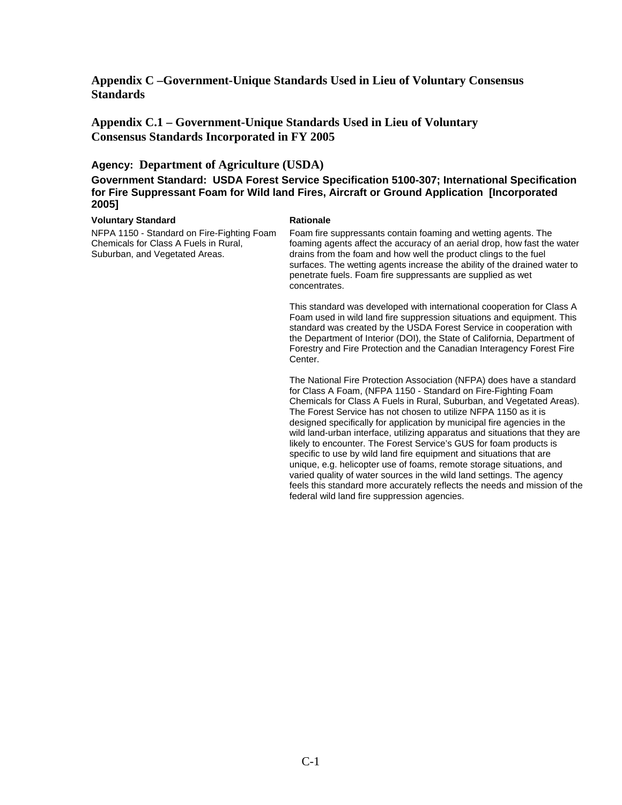<span id="page-19-0"></span>**Appendix C –Government-Unique Standards Used in Lieu of Voluntary Consensus Standards** 

**Appendix C.1 – Government-Unique Standards Used in Lieu of Voluntary Consensus Standards Incorporated in FY 2005** 

# **Agency: Department of Agriculture (USDA)**

**Government Standard: USDA Forest Service Specification 5100-307; International Specification for Fire Suppressant Foam for Wild land Fires, Aircraft or Ground Application [Incorporated 2005]** 

### **Voluntary Standard Contract Rationale Rationale**

NFPA 1150 - Standard on Fire-Fighting Foam Chemicals for Class A Fuels in Rural, Suburban, and Vegetated Areas.

Foam fire suppressants contain foaming and wetting agents. The foaming agents affect the accuracy of an aerial drop, how fast the water drains from the foam and how well the product clings to the fuel surfaces. The wetting agents increase the ability of the drained water to penetrate fuels. Foam fire suppressants are supplied as wet concentrates.

This standard was developed with international cooperation for Class A Foam used in wild land fire suppression situations and equipment. This standard was created by the USDA Forest Service in cooperation with the Department of Interior (DOI), the State of California, Department of Forestry and Fire Protection and the Canadian Interagency Forest Fire Center.

The National Fire Protection Association (NFPA) does have a standard for Class A Foam, (NFPA 1150 - Standard on Fire-Fighting Foam Chemicals for Class A Fuels in Rural, Suburban, and Vegetated Areas). The Forest Service has not chosen to utilize NFPA 1150 as it is designed specifically for application by municipal fire agencies in the wild land-urban interface, utilizing apparatus and situations that they are likely to encounter. The Forest Service's GUS for foam products is specific to use by wild land fire equipment and situations that are unique, e.g. helicopter use of foams, remote storage situations, and varied quality of water sources in the wild land settings. The agency feels this standard more accurately reflects the needs and mission of the federal wild land fire suppression agencies.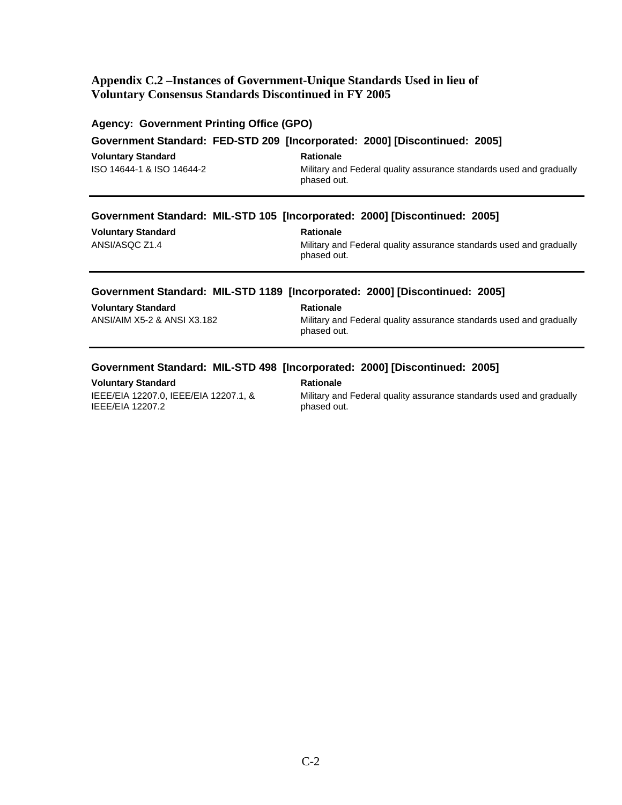# <span id="page-20-0"></span>**Appendix C.2 –Instances of Government-Unique Standards Used in lieu of Voluntary Consensus Standards Discontinued in FY 2005**

|                           | <b>Agency: Government Printing Office (GPO)</b>                                    |
|---------------------------|------------------------------------------------------------------------------------|
|                           | Government Standard: FED-STD 209 [Incorporated: 2000] [Discontinued: 2005]         |
| <b>Voluntary Standard</b> | <b>Rationale</b>                                                                   |
| ISO 14644-1 & ISO 14644-2 | Military and Federal quality assurance standards used and gradually<br>phased out. |
|                           | Government Standard: MIL-STD 105 [Incorporated: 2000] [Discontinued: 2005]         |
| <b>Voluntary Standard</b> | <b>Rationale</b>                                                                   |
| ANSI/ASQC Z1.4            | Military and Federal quality assurance standards used and gradually<br>phased out. |
|                           |                                                                                    |
|                           | Government Standard: MIL-STD 1189 [Incorporated: 2000] [Discontinued: 2005]        |
| <b>Voluntary Standard</b> | <b>Rationale</b>                                                                   |

# **Government Standard: MIL-STD 498 [Incorporated: 2000] [Discontinued: 2005]**

**Voluntary Standard Mationale Rationale** IEEE/EIA 12207.0, IEEE/EIA 12207.1, & IEEE/EIA 12207.2

 Military and Federal quality assurance standards used and gradually phased out.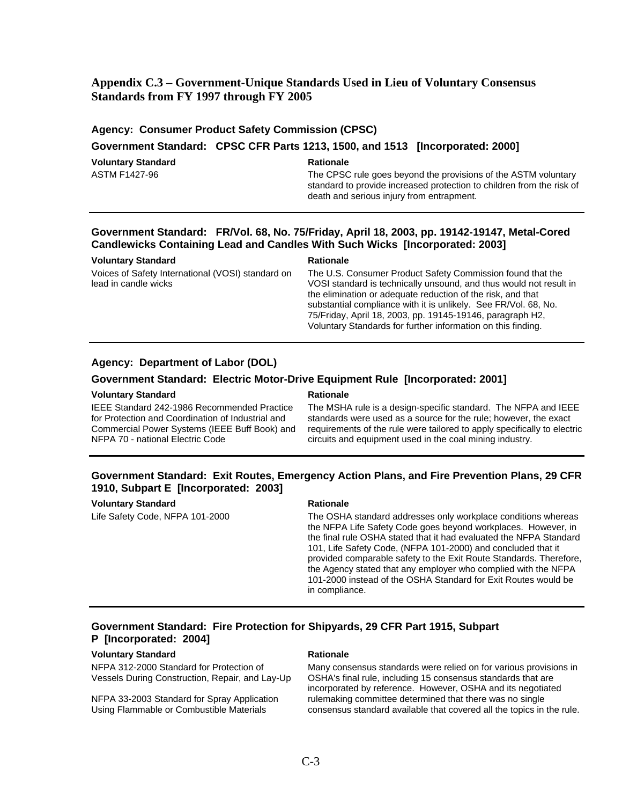# **Appendix C.3 – Government-Unique Standards Used in Lieu of Voluntary Consensus Standards from FY 1997 through FY 2005**

|                    | <b>Agency: Consumer Product Safety Commission (CPSC)</b>                                                                                                                             |
|--------------------|--------------------------------------------------------------------------------------------------------------------------------------------------------------------------------------|
|                    | Government Standard: CPSC CFR Parts 1213, 1500, and 1513 [Incorporated: 2000]                                                                                                        |
| Voluntary Standard | <b>Rationale</b>                                                                                                                                                                     |
| ASTM F1427-96      | The CPSC rule goes beyond the provisions of the ASTM voluntary<br>standard to provide increased protection to children from the risk of<br>death and serious injury from entrapment. |

# **Government Standard: FR/Vol. 68, No. 75/Friday, April 18, 2003, pp. 19142-19147, Metal-Cored Candlewicks Containing Lead and Candles With Such Wicks [Incorporated: 2003]**

| <b>Voluntary Standard</b>                         | <b>Rationale</b>                                                   |
|---------------------------------------------------|--------------------------------------------------------------------|
| Voices of Safety International (VOSI) standard on | The U.S. Consumer Product Safety Commission found that the         |
| lead in candle wicks                              | VOSI standard is technically unsound, and thus would not result in |
|                                                   | the elimination or adequate reduction of the risk, and that        |
|                                                   | substantial compliance with it is unlikely. See FR/Vol. 68, No.    |
|                                                   | 75/Friday, April 18, 2003, pp. 19145-19146, paragraph H2,          |
|                                                   | Voluntary Standards for further information on this finding.       |

### **Agency: Department of Labor (DOL)**

### **Government Standard: Electric Motor-Drive Equipment Rule [Incorporated: 2001]**

### **Voluntary Standard Communisty Construction Communisty Rationale**

IEEE Standard 242-1986 Recommended Practice for Protection and Coordination of Industrial and Commercial Power Systems (IEEE Buff Book) and NFPA 70 - national Electric Code

The MSHA rule is a design-specific standard. The NFPA and IEEE standards were used as a source for the rule; however, the exact requirements of the rule were tailored to apply specifically to electric circuits and equipment used in the coal mining industry.

# **Government Standard: Exit Routes, Emergency Action Plans, and Fire Prevention Plans, 29 CFR 1910, Subpart E [Incorporated: 2003]**

### **Voluntary Standard Rationale Rationale Rationale**

Life Safety Code, NFPA 101-2000 The OSHA standard addresses only workplace conditions whereas the NFPA Life Safety Code goes beyond workplaces. However, in the final rule OSHA stated that it had evaluated the NFPA Standard 101, Life Safety Code, (NFPA 101-2000) and concluded that it provided comparable safety to the Exit Route Standards. Therefore, the Agency stated that any employer who complied with the NFPA 101-2000 instead of the OSHA Standard for Exit Routes would be in compliance.

# **Government Standard: Fire Protection for Shipyards, 29 CFR Part 1915, Subpart P [Incorporated: 2004]**

### **Voluntary Standard Rationale Rationale Rationale**

NFPA 312-2000 Standard for Protection of Vessels During Construction, Repair, and Lay-Up

NFPA 33-2003 Standard for Spray Application Using Flammable or Combustible Materials

Many consensus standards were relied on for various provisions in OSHA's final rule, including 15 consensus standards that are incorporated by reference. However, OSHA and its negotiated rulemaking committee determined that there was no single consensus standard available that covered all the topics in the rule.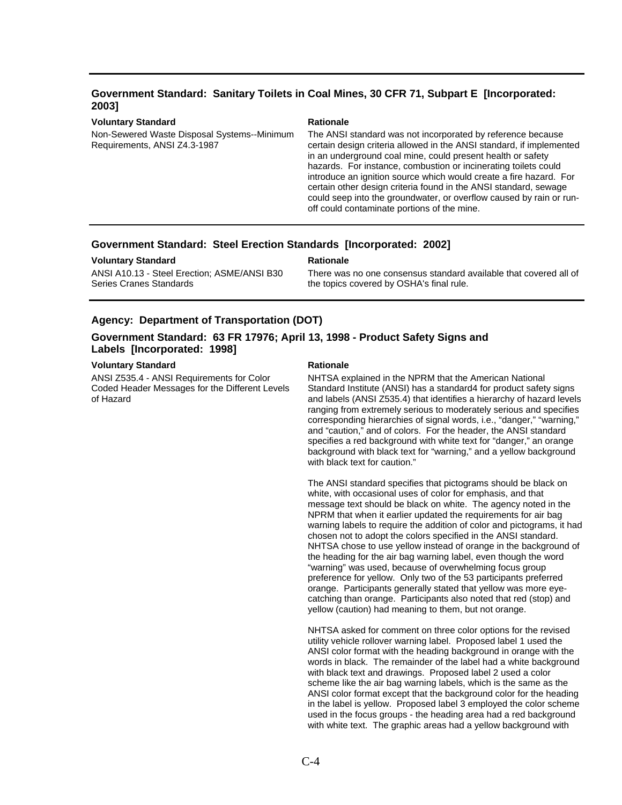# **Government Standard: Sanitary Toilets in Coal Mines, 30 CFR 71, Subpart E [Incorporated: 2003]**

### **Voluntary Standard Rationale Rationale Rationale**

Non-Sewered Waste Disposal Systems--Minimum Requirements, ANSI Z4.3-1987

The ANSI standard was not incorporated by reference because certain design criteria allowed in the ANSI standard, if implemented in an underground coal mine, could present health or safety hazards. For instance, combustion or incinerating toilets could introduce an ignition source which would create a fire hazard. For certain other design criteria found in the ANSI standard, sewage could seep into the groundwater, or overflow caused by rain or runoff could contaminate portions of the mine.

### **Government Standard: Steel Erection Standards [Incorporated: 2002]**

### **Voluntary Standard Rationale Rationale Rationale**

ANSI A10.13 - Steel Erection; ASME/ANSI B30 Series Cranes Standards

There was no one consensus standard available that covered all of the topics covered by OSHA's final rule.

### **Agency: Department of Transportation (DOT)**

# **Government Standard: 63 FR 17976; April 13, 1998 - Product Safety Signs and Labels [Incorporated: 1998]**

### **Voluntary Standard Rationale Rationale Rationale**

ANSI Z535.4 - ANSI Requirements for Color Coded Header Messages for the Different Levels of Hazard

NHTSA explained in the NPRM that the American National Standard Institute (ANSI) has a standard4 for product safety signs and labels (ANSI Z535.4) that identifies a hierarchy of hazard levels ranging from extremely serious to moderately serious and specifies corresponding hierarchies of signal words, i.e., "danger," "warning," and "caution," and of colors. For the header, the ANSI standard specifies a red background with white text for "danger," an orange background with black text for "warning," and a yellow background with black text for caution."

The ANSI standard specifies that pictograms should be black on white, with occasional uses of color for emphasis, and that message text should be black on white. The agency noted in the NPRM that when it earlier updated the requirements for air bag warning labels to require the addition of color and pictograms, it had chosen not to adopt the colors specified in the ANSI standard. NHTSA chose to use yellow instead of orange in the background of the heading for the air bag warning label, even though the word "warning" was used, because of overwhelming focus group preference for yellow. Only two of the 53 participants preferred orange. Participants generally stated that yellow was more eyecatching than orange. Participants also noted that red (stop) and yellow (caution) had meaning to them, but not orange.

NHTSA asked for comment on three color options for the revised utility vehicle rollover warning label. Proposed label 1 used the ANSI color format with the heading background in orange with the words in black. The remainder of the label had a white background with black text and drawings. Proposed label 2 used a color scheme like the air bag warning labels, which is the same as the ANSI color format except that the background color for the heading in the label is yellow. Proposed label 3 employed the color scheme used in the focus groups - the heading area had a red background with white text. The graphic areas had a yellow background with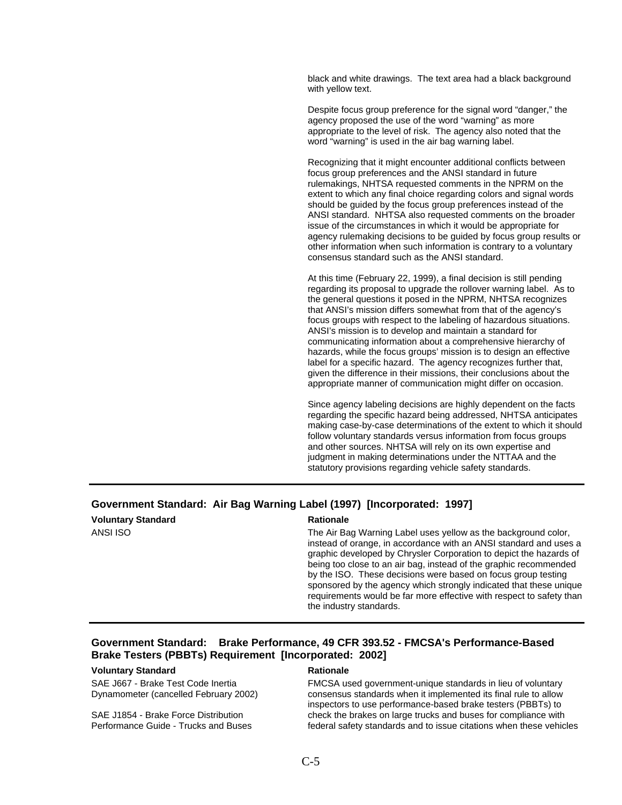black and white drawings. The text area had a black background with yellow text.

Despite focus group preference for the signal word "danger," the agency proposed the use of the word "warning" as more appropriate to the level of risk. The agency also noted that the word "warning" is used in the air bag warning label.

Recognizing that it might encounter additional conflicts between focus group preferences and the ANSI standard in future rulemakings, NHTSA requested comments in the NPRM on the extent to which any final choice regarding colors and signal words should be guided by the focus group preferences instead of the ANSI standard. NHTSA also requested comments on the broader issue of the circumstances in which it would be appropriate for agency rulemaking decisions to be guided by focus group results or other information when such information is contrary to a voluntary consensus standard such as the ANSI standard.

At this time (February 22, 1999), a final decision is still pending regarding its proposal to upgrade the rollover warning label. As to the general questions it posed in the NPRM, NHTSA recognizes that ANSI's mission differs somewhat from that of the agency's focus groups with respect to the labeling of hazardous situations. ANSI's mission is to develop and maintain a standard for communicating information about a comprehensive hierarchy of hazards, while the focus groups' mission is to design an effective label for a specific hazard. The agency recognizes further that, given the difference in their missions, their conclusions about the appropriate manner of communication might differ on occasion.

Since agency labeling decisions are highly dependent on the facts regarding the specific hazard being addressed, NHTSA anticipates making case-by-case determinations of the extent to which it should follow voluntary standards versus information from focus groups and other sources. NHTSA will rely on its own expertise and judgment in making determinations under the NTTAA and the statutory provisions regarding vehicle safety standards.

# **Government Standard: Air Bag Warning Label (1997) [Incorporated: 1997]**

| <b>Voluntary Standard</b> |  |
|---------------------------|--|
| ANSI ISO                  |  |

### **Rationale**

The Air Bag Warning Label uses yellow as the background color, instead of orange, in accordance with an ANSI standard and uses a graphic developed by Chrysler Corporation to depict the hazards of being too close to an air bag, instead of the graphic recommended by the ISO. These decisions were based on focus group testing sponsored by the agency which strongly indicated that these unique requirements would be far more effective with respect to safety than the industry standards.

# **Government Standard: Brake Performance, 49 CFR 393.52 - FMCSA's Performance-Based Brake Testers (PBBTs) Requirement [Incorporated: 2002]**

### **Voluntary Standard Rationale Rationale Rationale**

SAE J667 - Brake Test Code Inertia Dynamometer (cancelled February 2002)

SAE J1854 - Brake Force Distribution Performance Guide - Trucks and Buses

FMCSA used government-unique standards in lieu of voluntary consensus standards when it implemented its final rule to allow inspectors to use performance-based brake testers (PBBTs) to check the brakes on large trucks and buses for compliance with federal safety standards and to issue citations when these vehicles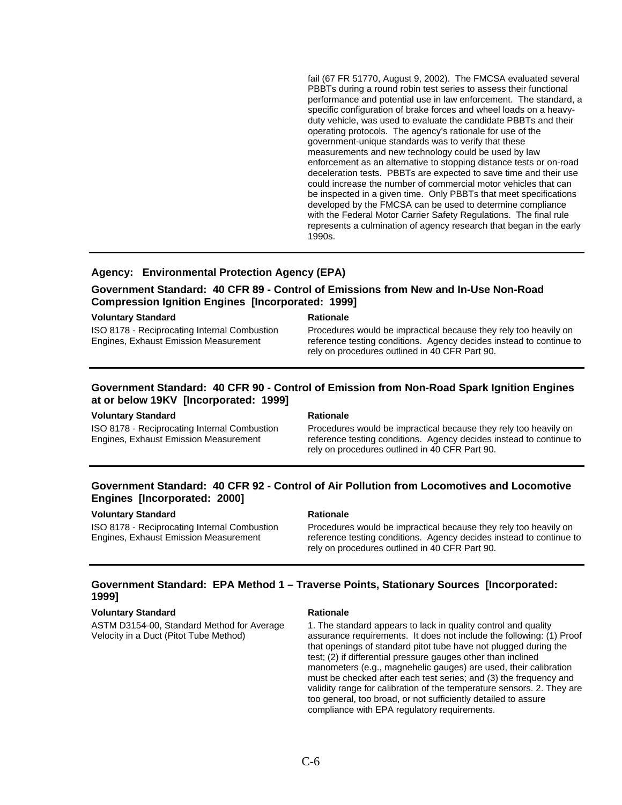fail (67 FR 51770, August 9, 2002). The FMCSA evaluated several PBBTs during a round robin test series to assess their functional performance and potential use in law enforcement. The standard, a specific configuration of brake forces and wheel loads on a heavyduty vehicle, was used to evaluate the candidate PBBTs and their operating protocols. The agency's rationale for use of the government-unique standards was to verify that these measurements and new technology could be used by law enforcement as an alternative to stopping distance tests or on-road deceleration tests. PBBTs are expected to save time and their use could increase the number of commercial motor vehicles that can be inspected in a given time. Only PBBTs that meet specifications developed by the FMCSA can be used to determine compliance with the Federal Motor Carrier Safety Regulations. The final rule represents a culmination of agency research that began in the early 1990s.

# **Agency: Environmental Protection Agency (EPA)**

# **Government Standard: 40 CFR 89 - Control of Emissions from New and In-Use Non-Road Compression Ignition Engines [Incorporated: 1999]**

### **Voluntary Standard Rationale Rationale Rationale**

ISO 8178 - Reciprocating Internal Combustion Engines, Exhaust Emission Measurement

Procedures would be impractical because they rely too heavily on reference testing conditions. Agency decides instead to continue to rely on procedures outlined in 40 CFR Part 90.

# **Government Standard: 40 CFR 90 - Control of Emission from Non-Road Spark Ignition Engines at or below 19KV [Incorporated: 1999]**

### **Voluntary Standard Contract Contract Rationale Rationale**

ISO 8178 - Reciprocating Internal Combustion Engines, Exhaust Emission Measurement

Procedures would be impractical because they rely too heavily on reference testing conditions. Agency decides instead to continue to rely on procedures outlined in 40 CFR Part 90.

# **Government Standard: 40 CFR 92 - Control of Air Pollution from Locomotives and Locomotive Engines [Incorporated: 2000]**

### **Voluntary Standard Rationale Rationale**

ISO 8178 - Reciprocating Internal Combustion Engines, Exhaust Emission Measurement

Procedures would be impractical because they rely too heavily on reference testing conditions. Agency decides instead to continue to rely on procedures outlined in 40 CFR Part 90.

# **Government Standard: EPA Method 1 – Traverse Points, Stationary Sources [Incorporated: 1999]**

### **Voluntary Standard Rationale Rationale Rationale**

ASTM D3154-00, Standard Method for Average Velocity in a Duct (Pitot Tube Method)

1. The standard appears to lack in quality control and quality assurance requirements. It does not include the following: (1) Proof that openings of standard pitot tube have not plugged during the test; (2) if differential pressure gauges other than inclined manometers (e.g., magnehelic gauges) are used, their calibration must be checked after each test series; and (3) the frequency and validity range for calibration of the temperature sensors. 2. They are too general, too broad, or not sufficiently detailed to assure compliance with EPA regulatory requirements.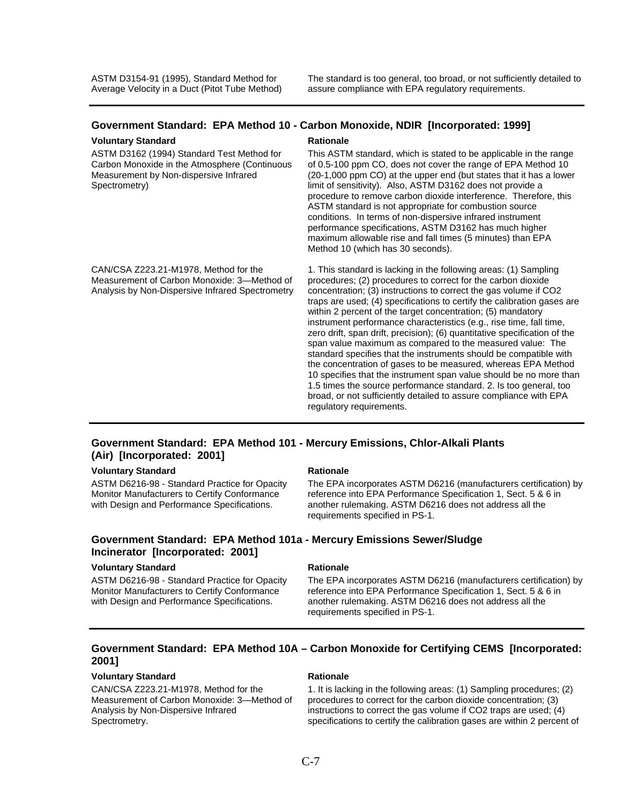# **Government Standard: EPA Method 10 - Carbon Monoxide, NDIR [Incorporated: 1999]**

### **Voluntary Standard Rationale Rationale Rationale**

ASTM D3162 (1994) Standard Test Method for Carbon Monoxide in the Atmosphere (Continuous Measurement by Non-dispersive Infrared Spectrometry)

CAN/CSA Z223.21-M1978, Method for the Measurement of Carbon Monoxide: 3—Method of Analysis by Non-Dispersive Infrared Spectrometry

This ASTM standard, which is stated to be applicable in the range of 0.5-100 ppm CO, does not cover the range of EPA Method 10 (20-1,000 ppm CO) at the upper end (but states that it has a lower limit of sensitivity). Also, ASTM D3162 does not provide a procedure to remove carbon dioxide interference. Therefore, this ASTM standard is not appropriate for combustion source conditions. In terms of non-dispersive infrared instrument performance specifications, ASTM D3162 has much higher maximum allowable rise and fall times (5 minutes) than EPA Method 10 (which has 30 seconds).

1. This standard is lacking in the following areas: (1) Sampling procedures; (2) procedures to correct for the carbon dioxide concentration; (3) instructions to correct the gas volume if CO2 traps are used; (4) specifications to certify the calibration gases are within 2 percent of the target concentration; (5) mandatory instrument performance characteristics (e.g., rise time, fall time, zero drift, span drift, precision); (6) quantitative specification of the span value maximum as compared to the measured value: The standard specifies that the instruments should be compatible with the concentration of gases to be measured, whereas EPA Method 10 specifies that the instrument span value should be no more than 1.5 times the source performance standard. 2. Is too general, too broad, or not sufficiently detailed to assure compliance with EPA regulatory requirements.

# **Government Standard: EPA Method 101 - Mercury Emissions, Chlor-Alkali Plants (Air) [Incorporated: 2001]**

### **Voluntary Standard Rationale Rationale Rationale**

ASTM D6216-98 - Standard Practice for Opacity Monitor Manufacturers to Certify Conformance with Design and Performance Specifications.

The EPA incorporates ASTM D6216 (manufacturers certification) by reference into EPA Performance Specification 1, Sect. 5 & 6 in another rulemaking. ASTM D6216 does not address all the requirements specified in PS-1.

# **Government Standard: EPA Method 101a - Mercury Emissions Sewer/Sludge Incinerator [Incorporated: 2001]**

## **Voluntary Standard Rationale Rationale Rationale**

ASTM D6216-98 - Standard Practice for Opacity Monitor Manufacturers to Certify Conformance with Design and Performance Specifications.

The EPA incorporates ASTM D6216 (manufacturers certification) by reference into EPA Performance Specification 1, Sect. 5 & 6 in another rulemaking. ASTM D6216 does not address all the requirements specified in PS-1.

# **Government Standard: EPA Method 10A – Carbon Monoxide for Certifying CEMS [Incorporated: 2001]**

## **Voluntary Standard Rationale Rationale Rationale**

CAN/CSA Z223.21-M1978, Method for the Measurement of Carbon Monoxide: 3—Method of Analysis by Non-Dispersive Infrared Spectrometry.

1. It is lacking in the following areas: (1) Sampling procedures; (2) procedures to correct for the carbon dioxide concentration; (3) instructions to correct the gas volume if CO2 traps are used; (4) specifications to certify the calibration gases are within 2 percent of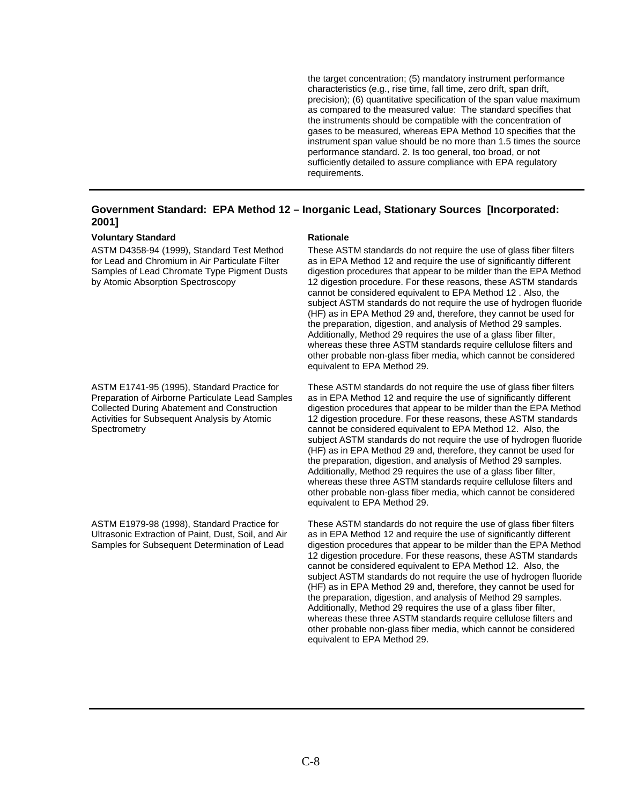the target concentration; (5) mandatory instrument performance characteristics (e.g., rise time, fall time, zero drift, span drift, precision); (6) quantitative specification of the span value maximum as compared to the measured value: The standard specifies that the instruments should be compatible with the concentration of gases to be measured, whereas EPA Method 10 specifies that the instrument span value should be no more than 1.5 times the source performance standard. 2. Is too general, too broad, or not sufficiently detailed to assure compliance with EPA regulatory requirements.

# **Government Standard: EPA Method 12 – Inorganic Lead, Stationary Sources [Incorporated: 2001]**

### **Voluntary Standard Rationale Rationale Rationale**

ASTM D4358-94 (1999), Standard Test Method for Lead and Chromium in Air Particulate Filter Samples of Lead Chromate Type Pigment Dusts by Atomic Absorption Spectroscopy

ASTM E1741-95 (1995), Standard Practice for Preparation of Airborne Particulate Lead Samples Collected During Abatement and Construction Activities for Subsequent Analysis by Atomic **Spectrometry** 

ASTM E1979-98 (1998), Standard Practice for Ultrasonic Extraction of Paint, Dust, Soil, and Air Samples for Subsequent Determination of Lead

These ASTM standards do not require the use of glass fiber filters as in EPA Method 12 and require the use of significantly different digestion procedures that appear to be milder than the EPA Method 12 digestion procedure. For these reasons, these ASTM standards cannot be considered equivalent to EPA Method 12 . Also, the subject ASTM standards do not require the use of hydrogen fluoride (HF) as in EPA Method 29 and, therefore, they cannot be used for the preparation, digestion, and analysis of Method 29 samples. Additionally, Method 29 requires the use of a glass fiber filter, whereas these three ASTM standards require cellulose filters and other probable non-glass fiber media, which cannot be considered equivalent to EPA Method 29.

These ASTM standards do not require the use of glass fiber filters as in EPA Method 12 and require the use of significantly different digestion procedures that appear to be milder than the EPA Method 12 digestion procedure. For these reasons, these ASTM standards cannot be considered equivalent to EPA Method 12. Also, the subject ASTM standards do not require the use of hydrogen fluoride (HF) as in EPA Method 29 and, therefore, they cannot be used for the preparation, digestion, and analysis of Method 29 samples. Additionally, Method 29 requires the use of a glass fiber filter, whereas these three ASTM standards require cellulose filters and other probable non-glass fiber media, which cannot be considered equivalent to EPA Method 29.

These ASTM standards do not require the use of glass fiber filters as in EPA Method 12 and require the use of significantly different digestion procedures that appear to be milder than the EPA Method 12 digestion procedure. For these reasons, these ASTM standards cannot be considered equivalent to EPA Method 12. Also, the subject ASTM standards do not require the use of hydrogen fluoride (HF) as in EPA Method 29 and, therefore, they cannot be used for the preparation, digestion, and analysis of Method 29 samples. Additionally, Method 29 requires the use of a glass fiber filter, whereas these three ASTM standards require cellulose filters and other probable non-glass fiber media, which cannot be considered equivalent to EPA Method 29.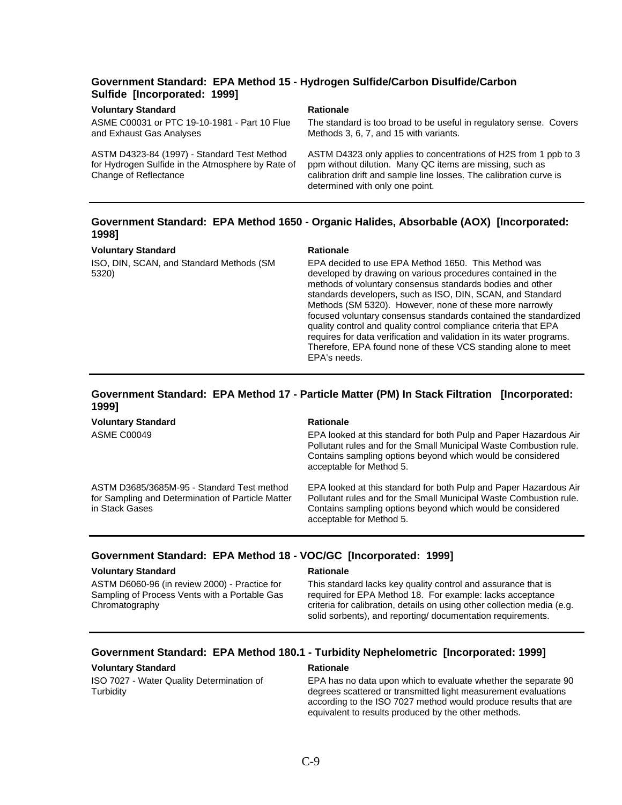# **Government Standard: EPA Method 15 - Hydrogen Sulfide/Carbon Disulfide/Carbon Sulfide [Incorporated: 1999]**

### **Voluntary Standard Rationale Rationale Rationale**

ASME C00031 or PTC 19-10-1981 - Part 10 Flue and Exhaust Gas Analyses

ASTM D4323-84 (1997) - Standard Test Method for Hydrogen Sulfide in the Atmosphere by Rate of Change of Reflectance

The standard is too broad to be useful in regulatory sense. Covers Methods 3, 6, 7, and 15 with variants.

ASTM D4323 only applies to concentrations of H2S from 1 ppb to 3 ppm without dilution. Many QC items are missing, such as calibration drift and sample line losses. The calibration curve is determined with only one point.

## **Government Standard: EPA Method 1650 - Organic Halides, Absorbable (AOX) [Incorporated: 1998]**

### **Voluntary Standard Rationale Rationale**

ISO, DIN, SCAN, and Standard Methods (SM 5320)

EPA decided to use EPA Method 1650. This Method was developed by drawing on various procedures contained in the methods of voluntary consensus standards bodies and other standards developers, such as ISO, DIN, SCAN, and Standard Methods (SM 5320). However, none of these more narrowly focused voluntary consensus standards contained the standardized quality control and quality control compliance criteria that EPA requires for data verification and validation in its water programs. Therefore, EPA found none of these VCS standing alone to meet EPA's needs.

## **Government Standard: EPA Method 17 - Particle Matter (PM) In Stack Filtration [Incorporated: 1999]**

**Voluntary Standard Rationale Rationale Rationale** ASME C00049 EPA looked at this standard for both Pulp and Paper Hazardous Air Pollutant rules and for the Small Municipal Waste Combustion rule. Contains sampling options beyond which would be considered acceptable for Method 5. ASTM D3685/3685M-95 - Standard Test method for Sampling and Determination of Particle Matter in Stack Gases EPA looked at this standard for both Pulp and Paper Hazardous Air Pollutant rules and for the Small Municipal Waste Combustion rule. Contains sampling options beyond which would be considered

acceptable for Method 5.

## **Government Standard: EPA Method 18 - VOC/GC [Incorporated: 1999]**

### **Voluntary Standard Rationale Rationale Rationale**

ASTM D6060-96 (in review 2000) - Practice for Sampling of Process Vents with a Portable Gas **Chromatography** 

This standard lacks key quality control and assurance that is required for EPA Method 18. For example: lacks acceptance criteria for calibration, details on using other collection media (e.g. solid sorbents), and reporting/ documentation requirements.

### **Government Standard: EPA Method 180.1 - Turbidity Nephelometric [Incorporated: 1999]**

### **Voluntary Standard Rationale Rationale Rationale**

ISO 7027 - Water Quality Determination of **Turbidity** 

EPA has no data upon which to evaluate whether the separate 90 degrees scattered or transmitted light measurement evaluations according to the ISO 7027 method would produce results that are equivalent to results produced by the other methods.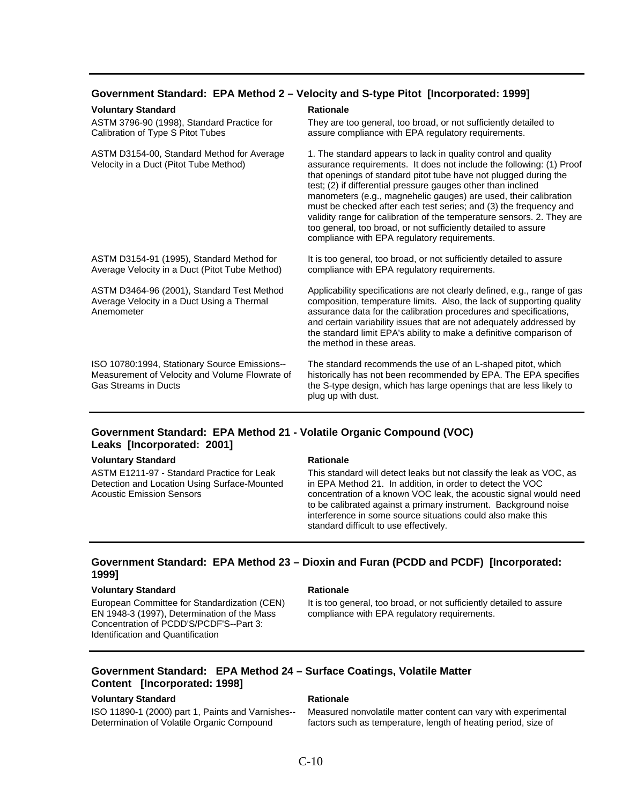## **Government Standard: EPA Method 2 – Velocity and S-type Pitot [Incorporated: 1999]**

### **Voluntary Standard Rationale Rationale Rationale**

ASTM 3796-90 (1998), Standard Practice for Calibration of Type S Pitot Tubes

ASTM D3154-00, Standard Method for Average Velocity in a Duct (Pitot Tube Method)

ASTM D3154-91 (1995), Standard Method for Average Velocity in a Duct (Pitot Tube Method)

ASTM D3464-96 (2001), Standard Test Method Average Velocity in a Duct Using a Thermal

ISO 10780:1994, Stationary Source Emissions-- Measurement of Velocity and Volume Flowrate of

They are too general, too broad, or not sufficiently detailed to assure compliance with EPA regulatory requirements.

1. The standard appears to lack in quality control and quality assurance requirements. It does not include the following: (1) Proof that openings of standard pitot tube have not plugged during the test; (2) if differential pressure gauges other than inclined manometers (e.g., magnehelic gauges) are used, their calibration must be checked after each test series; and (3) the frequency and validity range for calibration of the temperature sensors. 2. They are too general, too broad, or not sufficiently detailed to assure compliance with EPA regulatory requirements.

It is too general, too broad, or not sufficiently detailed to assure compliance with EPA regulatory requirements.

Applicability specifications are not clearly defined, e.g., range of gas composition, temperature limits. Also, the lack of supporting quality assurance data for the calibration procedures and specifications, and certain variability issues that are not adequately addressed by the standard limit EPA's ability to make a definitive comparison of the method in these areas.

The standard recommends the use of an L-shaped pitot, which historically has not been recommended by EPA. The EPA specifies the S-type design, which has large openings that are less likely to plug up with dust.

# **Government Standard: EPA Method 21 - Volatile Organic Compound (VOC) Leaks [Incorporated: 2001]**

### **Voluntary Standard Rationale Rationale Rationale**

Gas Streams in Ducts

Anemometer

ASTM E1211-97 - Standard Practice for Leak Detection and Location Using Surface-Mounted Acoustic Emission Sensors

This standard will detect leaks but not classify the leak as VOC, as in EPA Method 21. In addition, in order to detect the VOC concentration of a known VOC leak, the acoustic signal would need to be calibrated against a primary instrument. Background noise interference in some source situations could also make this standard difficult to use effectively.

## **Government Standard: EPA Method 23 – Dioxin and Furan (PCDD and PCDF) [Incorporated: 1999]**

### **Voluntary Standard Rationale Rationale Rationale**

European Committee for Standardization (CEN) EN 1948-3 (1997), Determination of the Mass Concentration of PCDD'S/PCDF'S--Part 3: Identification and Quantification

It is too general, too broad, or not sufficiently detailed to assure compliance with EPA regulatory requirements.

# **Government Standard: EPA Method 24 – Surface Coatings, Volatile Matter Content [Incorporated: 1998]**

# **Voluntary Standard Mationale Rationale Rationale**

ISO 11890-1 (2000) part 1, Paints and Varnishes-- Determination of Volatile Organic Compound

Measured nonvolatile matter content can vary with experimental factors such as temperature, length of heating period, size of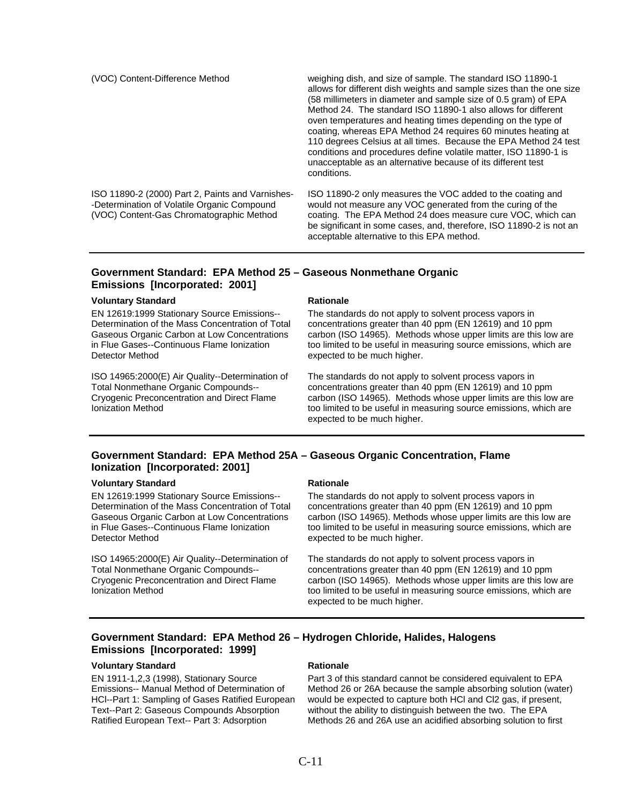(VOC) Content-Difference Method weighing dish, and size of sample. The standard ISO 11890-1 allows for different dish weights and sample sizes than the one size (58 millimeters in diameter and sample size of 0.5 gram) of EPA Method 24. The standard ISO 11890-1 also allows for different oven temperatures and heating times depending on the type of coating, whereas EPA Method 24 requires 60 minutes heating at 110 degrees Celsius at all times. Because the EPA Method 24 test conditions and procedures define volatile matter, ISO 11890-1 is unacceptable as an alternative because of its different test conditions.

ISO 11890-2 (2000) Part 2, Paints and Varnishes- -Determination of Volatile Organic Compound (VOC) Content-Gas Chromatographic Method

ISO 11890-2 only measures the VOC added to the coating and would not measure any VOC generated from the curing of the coating. The EPA Method 24 does measure cure VOC, which can be significant in some cases, and, therefore, ISO 11890-2 is not an acceptable alternative to this EPA method.

# **Government Standard: EPA Method 25 – Gaseous Nonmethane Organic Emissions [Incorporated: 2001]**

### **Voluntary Standard Rationale Rationale Rationale**

EN 12619:1999 Stationary Source Emissions-- Determination of the Mass Concentration of Total Gaseous Organic Carbon at Low Concentrations in Flue Gases--Continuous Flame Ionization Detector Method

ISO 14965:2000(E) Air Quality--Determination of Total Nonmethane Organic Compounds-- Cryogenic Preconcentration and Direct Flame Ionization Method

The standards do not apply to solvent process vapors in concentrations greater than 40 ppm (EN 12619) and 10 ppm carbon (ISO 14965). Methods whose upper limits are this low are too limited to be useful in measuring source emissions, which are expected to be much higher.

The standards do not apply to solvent process vapors in concentrations greater than 40 ppm (EN 12619) and 10 ppm carbon (ISO 14965). Methods whose upper limits are this low are too limited to be useful in measuring source emissions, which are expected to be much higher.

# **Government Standard: EPA Method 25A – Gaseous Organic Concentration, Flame Ionization [Incorporated: 2001]**

### **Voluntary Standard Communisty Construction Communisty Rationale**

EN 12619:1999 Stationary Source Emissions-- Determination of the Mass Concentration of Total Gaseous Organic Carbon at Low Concentrations in Flue Gases--Continuous Flame Ionization Detector Method

ISO 14965:2000(E) Air Quality--Determination of Total Nonmethane Organic Compounds-- Cryogenic Preconcentration and Direct Flame Ionization Method

The standards do not apply to solvent process vapors in concentrations greater than 40 ppm (EN 12619) and 10 ppm carbon (ISO 14965). Methods whose upper limits are this low are too limited to be useful in measuring source emissions, which are expected to be much higher.

The standards do not apply to solvent process vapors in concentrations greater than 40 ppm (EN 12619) and 10 ppm carbon (ISO 14965). Methods whose upper limits are this low are too limited to be useful in measuring source emissions, which are expected to be much higher.

# **Government Standard: EPA Method 26 – Hydrogen Chloride, Halides, Halogens Emissions [Incorporated: 1999]**

### **Voluntary Standard Rationale Rationale Rationale**

EN 1911-1,2,3 (1998), Stationary Source Emissions-- Manual Method of Determination of HCl--Part 1: Sampling of Gases Ratified European Text--Part 2: Gaseous Compounds Absorption Ratified European Text-- Part 3: Adsorption

Part 3 of this standard cannot be considered equivalent to EPA Method 26 or 26A because the sample absorbing solution (water) would be expected to capture both HCl and Cl2 gas, if present, without the ability to distinguish between the two. The EPA Methods 26 and 26A use an acidified absorbing solution to first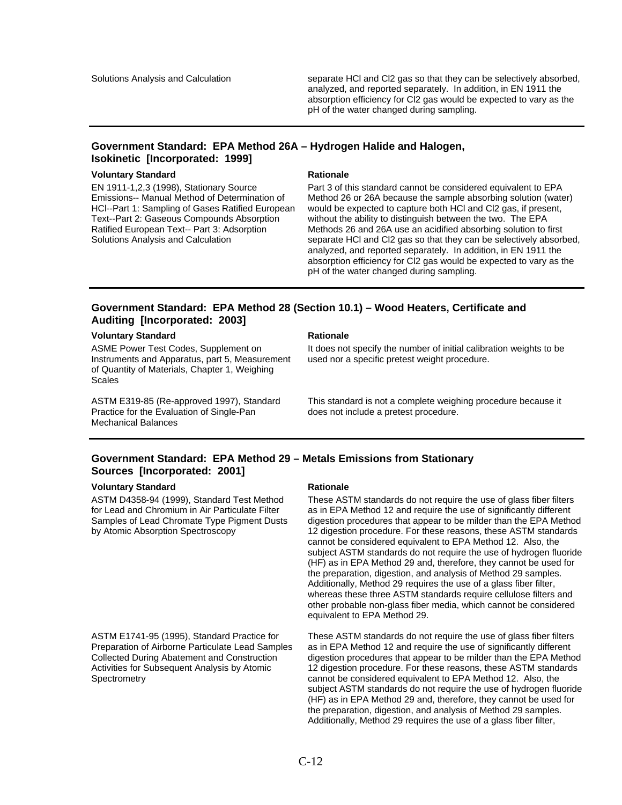Solutions Analysis and Calculation separate HCl and Cl2 gas so that they can be selectively absorbed, analyzed, and reported separately. In addition, in EN 1911 the absorption efficiency for Cl2 gas would be expected to vary as the pH of the water changed during sampling.

# **Government Standard: EPA Method 26A – Hydrogen Halide and Halogen, Isokinetic [Incorporated: 1999]**

### **Voluntary Standard Rationale Rationale Rationale**

EN 1911-1,2,3 (1998), Stationary Source Emissions-- Manual Method of Determination of HCl--Part 1: Sampling of Gases Ratified European Text--Part 2: Gaseous Compounds Absorption Ratified European Text-- Part 3: Adsorption Solutions Analysis and Calculation

Part 3 of this standard cannot be considered equivalent to EPA Method 26 or 26A because the sample absorbing solution (water) would be expected to capture both HCl and Cl2 gas, if present, without the ability to distinguish between the two. The EPA Methods 26 and 26A use an acidified absorbing solution to first separate HCl and Cl2 gas so that they can be selectively absorbed, analyzed, and reported separately. In addition, in EN 1911 the absorption efficiency for Cl2 gas would be expected to vary as the pH of the water changed during sampling.

# **Government Standard: EPA Method 28 (Section 10.1) – Wood Heaters, Certificate and Auditing [Incorporated: 2003]**

## **Voluntary Standard Mationale Rationale Rationale**

ASME Power Test Codes, Supplement on Instruments and Apparatus, part 5, Measurement of Quantity of Materials, Chapter 1, Weighing **Scales** 

ASTM E319-85 (Re-approved 1997), Standard Practice for the Evaluation of Single-Pan Mechanical Balances

It does not specify the number of initial calibration weights to be used nor a specific pretest weight procedure.

This standard is not a complete weighing procedure because it does not include a pretest procedure.

# **Government Standard: EPA Method 29 – Metals Emissions from Stationary Sources [Incorporated: 2001]**

# **Voluntary Standard Mationale Rationale Rationale**

ASTM D4358-94 (1999), Standard Test Method for Lead and Chromium in Air Particulate Filter Samples of Lead Chromate Type Pigment Dusts by Atomic Absorption Spectroscopy

ASTM E1741-95 (1995), Standard Practice for Preparation of Airborne Particulate Lead Samples Collected During Abatement and Construction Activities for Subsequent Analysis by Atomic **Spectrometry** 

These ASTM standards do not require the use of glass fiber filters as in EPA Method 12 and require the use of significantly different digestion procedures that appear to be milder than the EPA Method 12 digestion procedure. For these reasons, these ASTM standards cannot be considered equivalent to EPA Method 12. Also, the subject ASTM standards do not require the use of hydrogen fluoride (HF) as in EPA Method 29 and, therefore, they cannot be used for the preparation, digestion, and analysis of Method 29 samples. Additionally, Method 29 requires the use of a glass fiber filter, whereas these three ASTM standards require cellulose filters and other probable non-glass fiber media, which cannot be considered equivalent to EPA Method 29.

These ASTM standards do not require the use of glass fiber filters as in EPA Method 12 and require the use of significantly different digestion procedures that appear to be milder than the EPA Method 12 digestion procedure. For these reasons, these ASTM standards cannot be considered equivalent to EPA Method 12. Also, the subject ASTM standards do not require the use of hydrogen fluoride (HF) as in EPA Method 29 and, therefore, they cannot be used for the preparation, digestion, and analysis of Method 29 samples. Additionally, Method 29 requires the use of a glass fiber filter,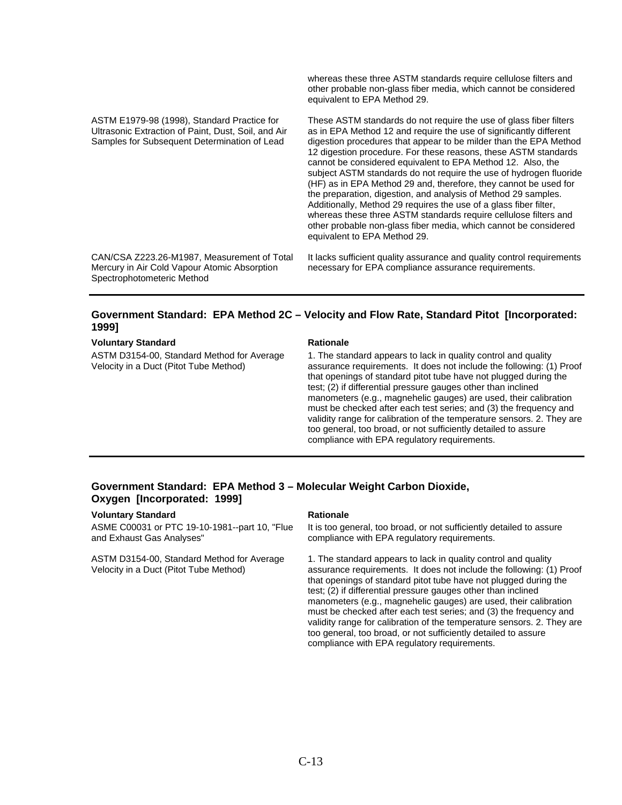ASTM E1979-98 (1998), Standard Practice for Ultrasonic Extraction of Paint, Dust, Soil, and Air Samples for Subsequent Determination of Lead

whereas these three ASTM standards require cellulose filters and other probable non-glass fiber media, which cannot be considered equivalent to EPA Method 29.

These ASTM standards do not require the use of glass fiber filters as in EPA Method 12 and require the use of significantly different digestion procedures that appear to be milder than the EPA Method 12 digestion procedure. For these reasons, these ASTM standards cannot be considered equivalent to EPA Method 12. Also, the subject ASTM standards do not require the use of hydrogen fluoride (HF) as in EPA Method 29 and, therefore, they cannot be used for the preparation, digestion, and analysis of Method 29 samples. Additionally, Method 29 requires the use of a glass fiber filter, whereas these three ASTM standards require cellulose filters and other probable non-glass fiber media, which cannot be considered equivalent to EPA Method 29.

CAN/CSA Z223.26-M1987, Measurement of Total Mercury in Air Cold Vapour Atomic Absorption Spectrophotometeric Method

It lacks sufficient quality assurance and quality control requirements necessary for EPA compliance assurance requirements.

# **Government Standard: EPA Method 2C – Velocity and Flow Rate, Standard Pitot [Incorporated: 1999]**

### **Voluntary Standard Communisty Construction Communisty Rationale**

ASTM D3154-00, Standard Method for Average Velocity in a Duct (Pitot Tube Method)

1. The standard appears to lack in quality control and quality assurance requirements. It does not include the following: (1) Proof that openings of standard pitot tube have not plugged during the test; (2) if differential pressure gauges other than inclined manometers (e.g., magnehelic gauges) are used, their calibration must be checked after each test series; and (3) the frequency and validity range for calibration of the temperature sensors. 2. They are too general, too broad, or not sufficiently detailed to assure compliance with EPA regulatory requirements.

# **Government Standard: EPA Method 3 – Molecular Weight Carbon Dioxide, Oxygen [Incorporated: 1999]**

### **Voluntary Standard Mationale Rationale Rationale**

ASME C00031 or PTC 19-10-1981--part 10, "Flue and Exhaust Gas Analyses"

ASTM D3154-00, Standard Method for Average Velocity in a Duct (Pitot Tube Method)

It is too general, too broad, or not sufficiently detailed to assure compliance with EPA regulatory requirements.

1. The standard appears to lack in quality control and quality assurance requirements. It does not include the following: (1) Proof that openings of standard pitot tube have not plugged during the test; (2) if differential pressure gauges other than inclined manometers (e.g., magnehelic gauges) are used, their calibration must be checked after each test series; and (3) the frequency and validity range for calibration of the temperature sensors. 2. They are too general, too broad, or not sufficiently detailed to assure compliance with EPA regulatory requirements.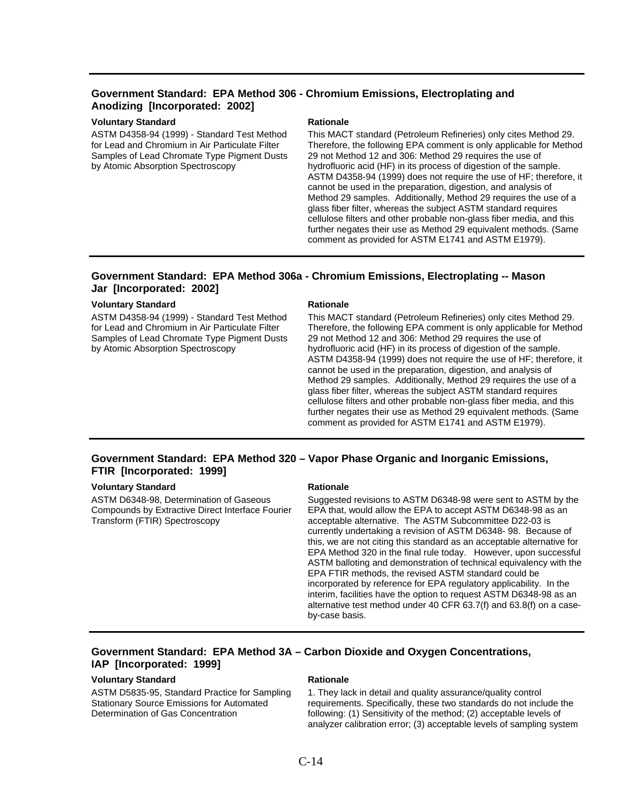# **Government Standard: EPA Method 306 - Chromium Emissions, Electroplating and Anodizing [Incorporated: 2002]**

# **Voluntary Standard Mationale Rationale Rationale**

ASTM D4358-94 (1999) - Standard Test Method for Lead and Chromium in Air Particulate Filter Samples of Lead Chromate Type Pigment Dusts by Atomic Absorption Spectroscopy

This MACT standard (Petroleum Refineries) only cites Method 29. Therefore, the following EPA comment is only applicable for Method 29 not Method 12 and 306: Method 29 requires the use of hydrofluoric acid (HF) in its process of digestion of the sample. ASTM D4358-94 (1999) does not require the use of HF; therefore, it cannot be used in the preparation, digestion, and analysis of Method 29 samples. Additionally, Method 29 requires the use of a glass fiber filter, whereas the subject ASTM standard requires cellulose filters and other probable non-glass fiber media, and this further negates their use as Method 29 equivalent methods. (Same comment as provided for ASTM E1741 and ASTM E1979).

# **Government Standard: EPA Method 306a - Chromium Emissions, Electroplating -- Mason Jar [Incorporated: 2002]**

### **Voluntary Standard Rationale Rationale Rationale**

ASTM D4358-94 (1999) - Standard Test Method for Lead and Chromium in Air Particulate Filter Samples of Lead Chromate Type Pigment Dusts by Atomic Absorption Spectroscopy

This MACT standard (Petroleum Refineries) only cites Method 29. Therefore, the following EPA comment is only applicable for Method 29 not Method 12 and 306: Method 29 requires the use of hydrofluoric acid (HF) in its process of digestion of the sample. ASTM D4358-94 (1999) does not require the use of HF; therefore, it cannot be used in the preparation, digestion, and analysis of Method 29 samples. Additionally, Method 29 requires the use of a glass fiber filter, whereas the subject ASTM standard requires cellulose filters and other probable non-glass fiber media, and this further negates their use as Method 29 equivalent methods. (Same comment as provided for ASTM E1741 and ASTM E1979).

# **Government Standard: EPA Method 320 – Vapor Phase Organic and Inorganic Emissions, FTIR [Incorporated: 1999]**

# **Voluntary Standard Mationale Rationale Rationale**

ASTM D6348-98, Determination of Gaseous Compounds by Extractive Direct Interface Fourier Transform (FTIR) Spectroscopy

Suggested revisions to ASTM D6348-98 were sent to ASTM by the EPA that, would allow the EPA to accept ASTM D6348-98 as an acceptable alternative. The ASTM Subcommittee D22-03 is currently undertaking a revision of ASTM D6348- 98. Because of this, we are not citing this standard as an acceptable alternative for EPA Method 320 in the final rule today. However, upon successful ASTM balloting and demonstration of technical equivalency with the EPA FTIR methods, the revised ASTM standard could be incorporated by reference for EPA regulatory applicability. In the interim, facilities have the option to request ASTM D6348-98 as an alternative test method under 40 CFR 63.7(f) and 63.8(f) on a caseby-case basis.

# **Government Standard: EPA Method 3A – Carbon Dioxide and Oxygen Concentrations, IAP [Incorporated: 1999]**

### **Voluntary Standard Rationale Rationale Rationale**

ASTM D5835-95, Standard Practice for Sampling Stationary Source Emissions for Automated Determination of Gas Concentration

1. They lack in detail and quality assurance/quality control requirements. Specifically, these two standards do not include the following: (1) Sensitivity of the method; (2) acceptable levels of analyzer calibration error; (3) acceptable levels of sampling system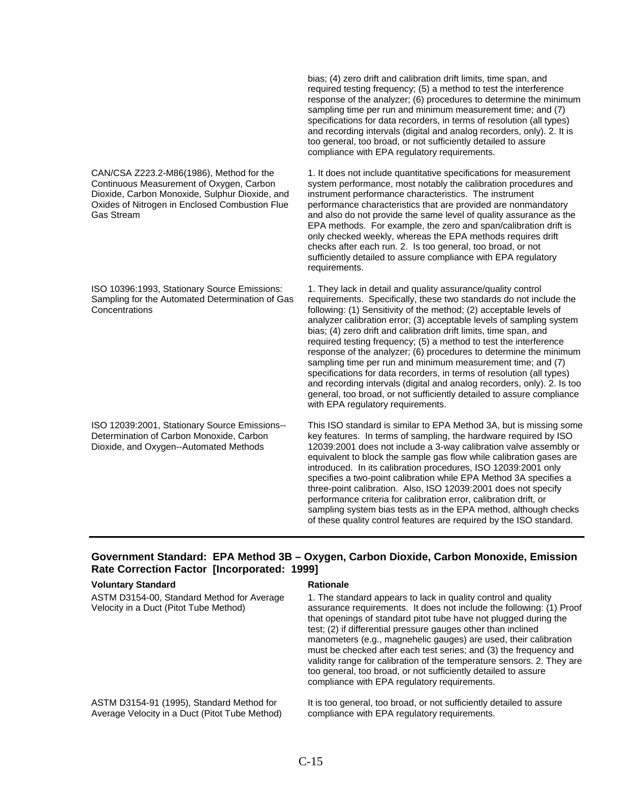CAN/CSA Z223.2-M86(1986), Method for the Continuous Measurement of Oxygen, Carbon Dioxide, Carbon Monoxide, Sulphur Dioxide, and Oxides of Nitrogen in Enclosed Combustion Flue Gas Stream

ISO 10396:1993, Stationary Source Emissions: Sampling for the Automated Determination of Gas Concentrations

ISO 12039:2001, Stationary Source Emissions-- Determination of Carbon Monoxide, Carbon Dioxide, and Oxygen--Automated Methods

bias; (4) zero drift and calibration drift limits, time span, and required testing frequency; (5) a method to test the interference response of the analyzer; (6) procedures to determine the minimum sampling time per run and minimum measurement time; and (7) specifications for data recorders, in terms of resolution (all types) and recording intervals (digital and analog recorders, only). 2. It is too general, too broad, or not sufficiently detailed to assure compliance with EPA regulatory requirements.

1. It does not include quantitative specifications for measurement system performance, most notably the calibration procedures and instrument performance characteristics. The instrument performance characteristics that are provided are nonmandatory and also do not provide the same level of quality assurance as the EPA methods. For example, the zero and span/calibration drift is only checked weekly, whereas the EPA methods requires drift checks after each run. 2. Is too general, too broad, or not sufficiently detailed to assure compliance with EPA regulatory requirements.

1. They lack in detail and quality assurance/quality control requirements. Specifically, these two standards do not include the following: (1) Sensitivity of the method; (2) acceptable levels of analyzer calibration error; (3) acceptable levels of sampling system bias; (4) zero drift and calibration drift limits, time span, and required testing frequency; (5) a method to test the interference response of the analyzer; (6) procedures to determine the minimum sampling time per run and minimum measurement time; and (7) specifications for data recorders, in terms of resolution (all types) and recording intervals (digital and analog recorders, only). 2. Is too general, too broad, or not sufficiently detailed to assure compliance with EPA regulatory requirements.

This ISO standard is similar to EPA Method 3A, but is missing some key features. In terms of sampling, the hardware required by ISO 12039:2001 does not include a 3-way calibration valve assembly or equivalent to block the sample gas flow while calibration gases are introduced. In its calibration procedures, ISO 12039:2001 only specifies a two-point calibration while EPA Method 3A specifies a three-point calibration. Also, ISO 12039:2001 does not specify performance criteria for calibration error, calibration drift, or sampling system bias tests as in the EPA method, although checks of these quality control features are required by the ISO standard.

# **Government Standard: EPA Method 3B – Oxygen, Carbon Dioxide, Carbon Monoxide, Emission Rate Correction Factor [Incorporated: 1999]**

### **Voluntary Standard Rationale Rationale Rationale**

| ASTM D3154-00, Standard Method for Average<br>Velocity in a Duct (Pitot Tube Method) | 1. The standard appears to lack in quality control and quality<br>assurance requirements. It does not include the following: (1) Proof<br>that openings of standard pitot tube have not plugged during the<br>test; (2) if differential pressure gauges other than inclined<br>manometers (e.g., magnehelic gauges) are used, their calibration<br>must be checked after each test series; and (3) the frequency and<br>validity range for calibration of the temperature sensors. 2. They are<br>too general, too broad, or not sufficiently detailed to assure<br>compliance with EPA regulatory requirements. |
|--------------------------------------------------------------------------------------|------------------------------------------------------------------------------------------------------------------------------------------------------------------------------------------------------------------------------------------------------------------------------------------------------------------------------------------------------------------------------------------------------------------------------------------------------------------------------------------------------------------------------------------------------------------------------------------------------------------|
| ASTM D3154-91 (1995), Standard Method for                                            | It is too general, too broad, or not sufficiently detailed to assure                                                                                                                                                                                                                                                                                                                                                                                                                                                                                                                                             |
| Average Velocity in a Duct (Pitot Tube Method)                                       | compliance with EPA regulatory requirements.                                                                                                                                                                                                                                                                                                                                                                                                                                                                                                                                                                     |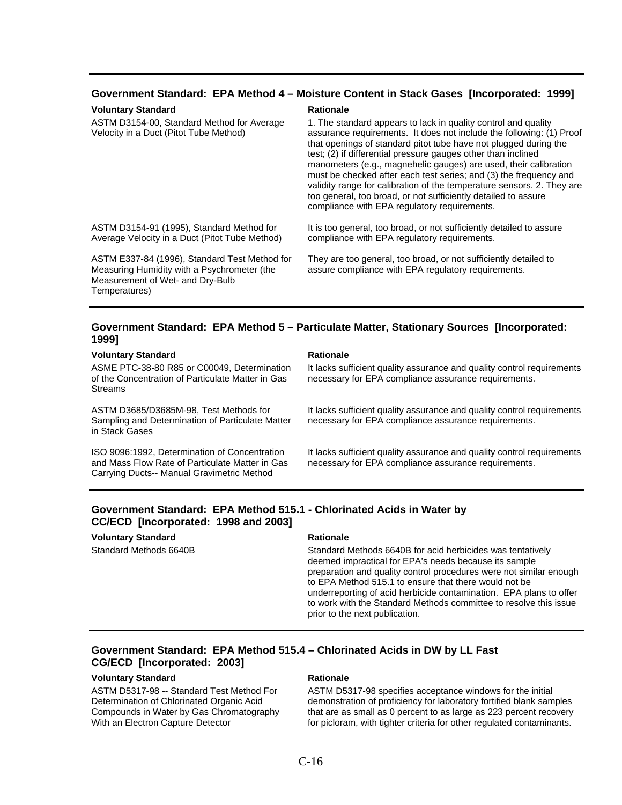## **Government Standard: EPA Method 4 – Moisture Content in Stack Gases [Incorporated: 1999]**

### **Voluntary Standard Rationale Rationale**

ASTM D3154-00, Standard Method for Average Velocity in a Duct (Pitot Tube Method)

1. The standard appears to lack in quality control and quality assurance requirements. It does not include the following: (1) Proof that openings of standard pitot tube have not plugged during the test; (2) if differential pressure gauges other than inclined manometers (e.g., magnehelic gauges) are used, their calibration must be checked after each test series; and (3) the frequency and validity range for calibration of the temperature sensors. 2. They are too general, too broad, or not sufficiently detailed to assure compliance with EPA regulatory requirements.

ASTM D3154-91 (1995), Standard Method for Average Velocity in a Duct (Pitot Tube Method)

ASTM E337-84 (1996), Standard Test Method for Measuring Humidity with a Psychrometer (the Measurement of Wet- and Dry-Bulb Temperatures)

It is too general, too broad, or not sufficiently detailed to assure compliance with EPA regulatory requirements.

They are too general, too broad, or not sufficiently detailed to assure compliance with EPA regulatory requirements.

### **Government Standard: EPA Method 5 – Particulate Matter, Stationary Sources [Incorporated: 1999]**

### **Voluntary Standard Rationale Rationale Rationale**

ASME PTC-38-80 R85 or C00049, Determination of the Concentration of Particulate Matter in Gas Streams

ASTM D3685/D3685M-98, Test Methods for Sampling and Determination of Particulate Matter in Stack Gases

ISO 9096:1992, Determination of Concentration and Mass Flow Rate of Particulate Matter in Gas Carrying Ducts-- Manual Gravimetric Method

It lacks sufficient quality assurance and quality control requirements necessary for EPA compliance assurance requirements.

It lacks sufficient quality assurance and quality control requirements necessary for EPA compliance assurance requirements.

It lacks sufficient quality assurance and quality control requirements necessary for EPA compliance assurance requirements.

# **Government Standard: EPA Method 515.1 - Chlorinated Acids in Water by CC/ECD [Incorporated: 1998 and 2003]**

# **Voluntary Standard Rationale Rationale Rationale**

Standard Methods 6640B Standard Methods 6640B for acid herbicides was tentatively deemed impractical for EPA's needs because its sample preparation and quality control procedures were not similar enough to EPA Method 515.1 to ensure that there would not be underreporting of acid herbicide contamination. EPA plans to offer to work with the Standard Methods committee to resolve this issue prior to the next publication.

# **Government Standard: EPA Method 515.4 – Chlorinated Acids in DW by LL Fast CG/ECD [Incorporated: 2003]**

### **Voluntary Standard Communisty Standard Rationale Rationale**

ASTM D5317-98 -- Standard Test Method For Determination of Chlorinated Organic Acid Compounds in Water by Gas Chromatography With an Electron Capture Detector

ASTM D5317-98 specifies acceptance windows for the initial demonstration of proficiency for laboratory fortified blank samples that are as small as 0 percent to as large as 223 percent recovery for picloram, with tighter criteria for other regulated contaminants.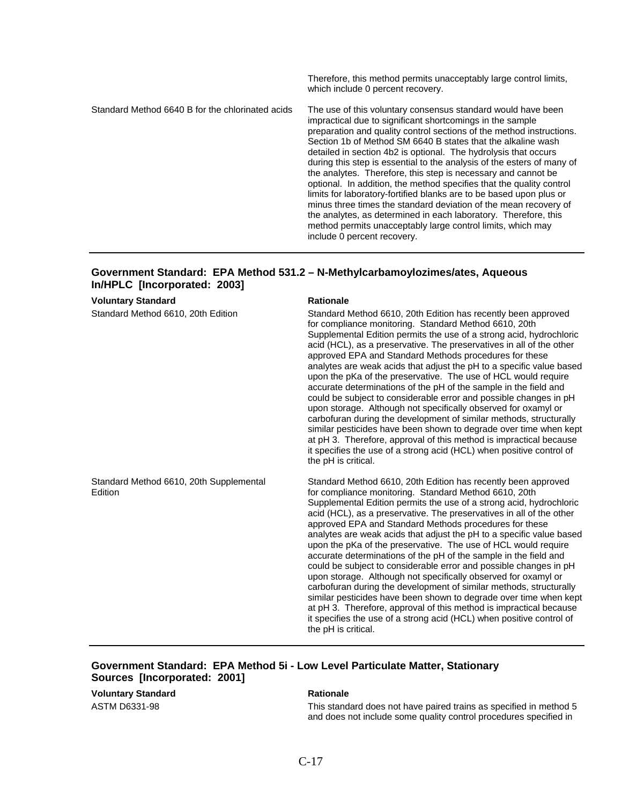Therefore, this method permits unacceptably large control limits, which include 0 percent recovery. Standard Method 6640 B for the chlorinated acids The use of this voluntary consensus standard would have been impractical due to significant shortcomings in the sample preparation and quality control sections of the method instructions. Section 1b of Method SM 6640 B states that the alkaline wash detailed in section 4b2 is optional. The hydrolysis that occurs during this step is essential to the analysis of the esters of many of the analytes. Therefore, this step is necessary and cannot be optional. In addition, the method specifies that the quality control limits for laboratory-fortified blanks are to be based upon plus or minus three times the standard deviation of the mean recovery of the analytes, as determined in each laboratory. Therefore, this method permits unacceptably large control limits, which may include 0 percent recovery.

# **Government Standard: EPA Method 531.2 – N-Methylcarbamoylozimes/ates, Aqueous In/HPLC [Incorporated: 2003]**

**Voluntary Standard Rationale Rationale Rationale** Standard Method 6610, 20th Edition Standard Method 6610, 20th Edition has recently been approved for compliance monitoring. Standard Method 6610, 20th Supplemental Edition permits the use of a strong acid, hydrochloric acid (HCL), as a preservative. The preservatives in all of the other approved EPA and Standard Methods procedures for these analytes are weak acids that adjust the pH to a specific value based upon the pKa of the preservative. The use of HCL would require accurate determinations of the pH of the sample in the field and could be subject to considerable error and possible changes in pH upon storage. Although not specifically observed for oxamyl or carbofuran during the development of similar methods, structurally similar pesticides have been shown to degrade over time when kept at pH 3. Therefore, approval of this method is impractical because it specifies the use of a strong acid (HCL) when positive control of the pH is critical. Standard Method 6610, 20th Supplemental Edition Standard Method 6610, 20th Edition has recently been approved for compliance monitoring. Standard Method 6610, 20th Supplemental Edition permits the use of a strong acid, hydrochloric acid (HCL), as a preservative. The preservatives in all of the other approved EPA and Standard Methods procedures for these analytes are weak acids that adjust the pH to a specific value based upon the pKa of the preservative. The use of HCL would require accurate determinations of the pH of the sample in the field and could be subject to considerable error and possible changes in pH upon storage. Although not specifically observed for oxamyl or carbofuran during the development of similar methods, structurally similar pesticides have been shown to degrade over time when kept at pH 3. Therefore, approval of this method is impractical because it specifies the use of a strong acid (HCL) when positive control of the pH is critical.

# **Government Standard: EPA Method 5i - Low Level Particulate Matter, Stationary Sources [Incorporated: 2001]**

**Voluntary Standard Mationale Rationale Rationale** 

ASTM D6331-98 This standard does not have paired trains as specified in method 5 and does not include some quality control procedures specified in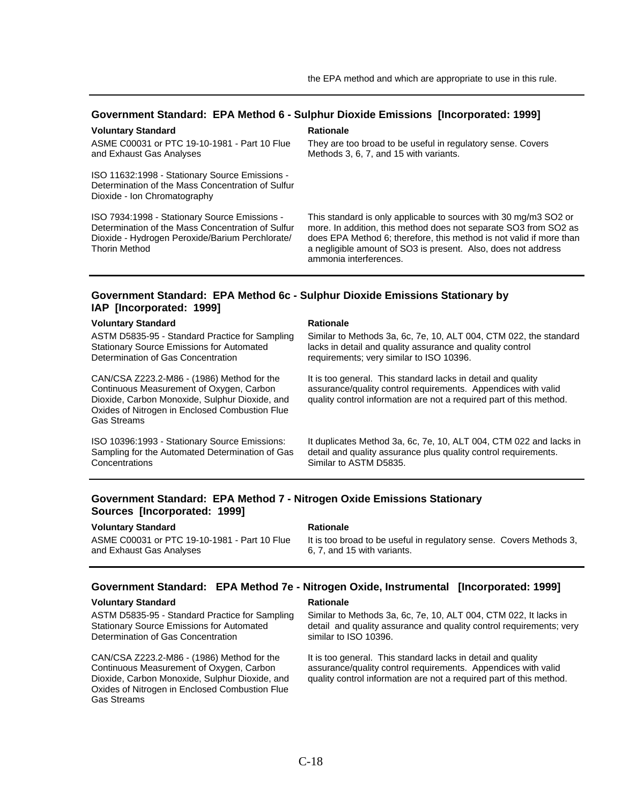### **Government Standard: EPA Method 6 - Sulphur Dioxide Emissions [Incorporated: 1999]**

### **Voluntary Standard Rationale Rationale**

ASME C00031 or PTC 19-10-1981 - Part 10 Flue and Exhaust Gas Analyses

ISO 11632:1998 - Stationary Source Emissions - Determination of the Mass Concentration of Sulfur Dioxide - Ion Chromatography

ISO 7934:1998 - Stationary Source Emissions - Determination of the Mass Concentration of Sulfur Dioxide - Hydrogen Peroxide/Barium Perchlorate/ Thorin Method

They are too broad to be useful in regulatory sense. Covers Methods 3, 6, 7, and 15 with variants.

This standard is only applicable to sources with 30 mg/m3 SO2 or more. In addition, this method does not separate SO3 from SO2 as does EPA Method 6; therefore, this method is not valid if more than a negligible amount of SO3 is present. Also, does not address ammonia interferences.

## **Government Standard: EPA Method 6c - Sulphur Dioxide Emissions Stationary by IAP [Incorporated: 1999]**

### **Voluntary Standard Mationale Rationale**

ASTM D5835-95 - Standard Practice for Sampling Stationary Source Emissions for Automated Determination of Gas Concentration

CAN/CSA Z223.2-M86 - (1986) Method for the Continuous Measurement of Oxygen, Carbon Dioxide, Carbon Monoxide, Sulphur Dioxide, and Oxides of Nitrogen in Enclosed Combustion Flue Gas Streams

ISO 10396:1993 - Stationary Source Emissions: Sampling for the Automated Determination of Gas **Concentrations** 

Similar to Methods 3a, 6c, 7e, 10, ALT 004, CTM 022, the standard lacks in detail and quality assurance and quality control requirements; very similar to ISO 10396.

It is too general. This standard lacks in detail and quality assurance/quality control requirements. Appendices with valid quality control information are not a required part of this method.

It duplicates Method 3a, 6c, 7e, 10, ALT 004, CTM 022 and lacks in detail and quality assurance plus quality control requirements. Similar to ASTM D5835.

## **Government Standard: EPA Method 7 - Nitrogen Oxide Emissions Stationary Sources [Incorporated: 1999]**

### **Voluntary Standard Rationale Rationale Rationale**

ASME C00031 or PTC 19-10-1981 - Part 10 Flue and Exhaust Gas Analyses

It is too broad to be useful in regulatory sense. Covers Methods 3, 6, 7, and 15 with variants.

### **Government Standard: EPA Method 7e - Nitrogen Oxide, Instrumental [Incorporated: 1999]**

### **Voluntary Standard Rationale Rationale Rationale**

ASTM D5835-95 - Standard Practice for Sampling Stationary Source Emissions for Automated Determination of Gas Concentration

CAN/CSA Z223.2-M86 - (1986) Method for the Continuous Measurement of Oxygen, Carbon Dioxide, Carbon Monoxide, Sulphur Dioxide, and Oxides of Nitrogen in Enclosed Combustion Flue Gas Streams

Similar to Methods 3a, 6c, 7e, 10, ALT 004, CTM 022, It lacks in detail and quality assurance and quality control requirements; very similar to ISO 10396.

It is too general. This standard lacks in detail and quality assurance/quality control requirements. Appendices with valid quality control information are not a required part of this method.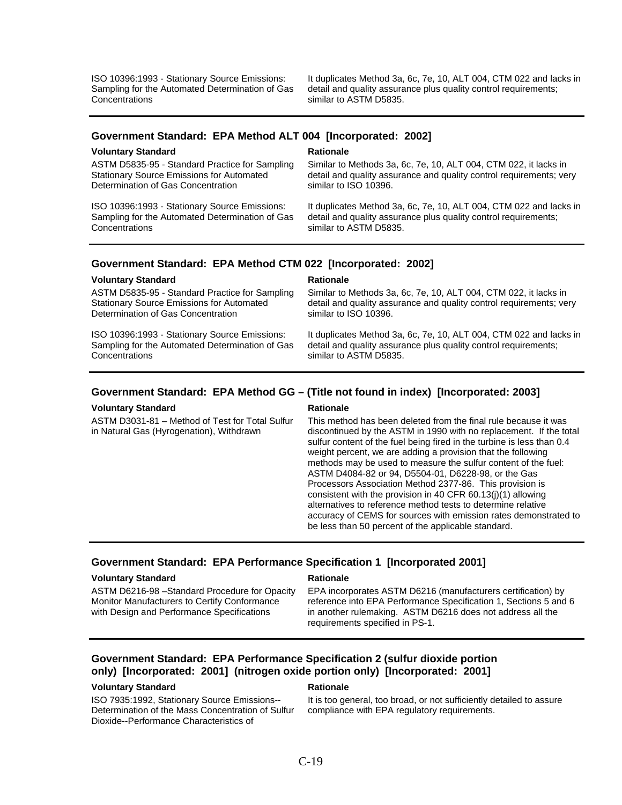ISO 10396:1993 - Stationary Source Emissions: Sampling for the Automated Determination of Gas **Concentrations** 

It duplicates Method 3a, 6c, 7e, 10, ALT 004, CTM 022 and lacks in detail and quality assurance plus quality control requirements; similar to ASTM D5835.

### **Government Standard: EPA Method ALT 004 [Incorporated: 2002]**

### **Voluntary Standard Rationale Rationale**

ASTM D5835-95 - Standard Practice for Sampling Stationary Source Emissions for Automated Determination of Gas Concentration

ISO 10396:1993 - Stationary Source Emissions: Sampling for the Automated Determination of Gas **Concentrations** 

Similar to Methods 3a, 6c, 7e, 10, ALT 004, CTM 022, it lacks in detail and quality assurance and quality control requirements; very similar to ISO 10396.

It duplicates Method 3a, 6c, 7e, 10, ALT 004, CTM 022 and lacks in detail and quality assurance plus quality control requirements; similar to ASTM D5835.

### **Government Standard: EPA Method CTM 022 [Incorporated: 2002]**

### **Voluntary Standard Rationale Rationale Rationale**

ASTM D5835-95 - Standard Practice for Sampling Stationary Source Emissions for Automated Determination of Gas Concentration

ISO 10396:1993 - Stationary Source Emissions: Sampling for the Automated Determination of Gas **Concentrations** 

Similar to Methods 3a, 6c, 7e, 10, ALT 004, CTM 022, it lacks in detail and quality assurance and quality control requirements; very similar to ISO 10396.

It duplicates Method 3a, 6c, 7e, 10, ALT 004, CTM 022 and lacks in detail and quality assurance plus quality control requirements; similar to ASTM D5835.

# **Government Standard: EPA Method GG – (Title not found in index) [Incorporated: 2003]**

### **Voluntary Standard Rationale Rationale Rationale**

ASTM D3031-81 – Method of Test for Total Sulfur in Natural Gas (Hyrogenation), Withdrawn

This method has been deleted from the final rule because it was discontinued by the ASTM in 1990 with no replacement. If the total sulfur content of the fuel being fired in the turbine is less than 0.4 weight percent, we are adding a provision that the following methods may be used to measure the sulfur content of the fuel: ASTM D4084-82 or 94, D5504-01, D6228-98, or the Gas Processors Association Method 2377-86. This provision is consistent with the provision in 40 CFR 60.13(j)(1) allowing alternatives to reference method tests to determine relative accuracy of CEMS for sources with emission rates demonstrated to be less than 50 percent of the applicable standard.

### **Government Standard: EPA Performance Specification 1 [Incorporated 2001]**

### **Voluntary Standard Rationale Rationale Rationale**

ASTM D6216-98 –Standard Procedure for Opacity Monitor Manufacturers to Certify Conformance with Design and Performance Specifications

EPA incorporates ASTM D6216 (manufacturers certification) by reference into EPA Performance Specification 1, Sections 5 and 6 in another rulemaking. ASTM D6216 does not address all the requirements specified in PS-1.

# **Government Standard: EPA Performance Specification 2 (sulfur dioxide portion only) [Incorporated: 2001] (nitrogen oxide portion only) [Incorporated: 2001]**

### **Voluntary Standard Rationale Rationale Rationale**

ISO 7935:1992, Stationary Source Emissions-- Determination of the Mass Concentration of Sulfur Dioxide--Performance Characteristics of

It is too general, too broad, or not sufficiently detailed to assure compliance with EPA regulatory requirements.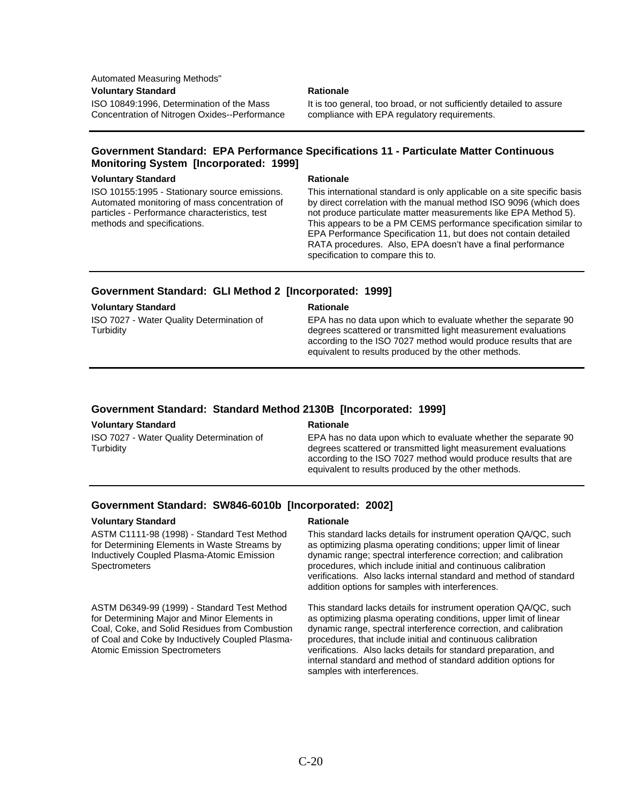Automated Measuring Methods"

### **Voluntary Standard Communisty Construction Communisty Rationale**

ISO 10849:1996, Determination of the Mass Concentration of Nitrogen Oxides--Performance

It is too general, too broad, or not sufficiently detailed to assure compliance with EPA regulatory requirements.

# **Government Standard: EPA Performance Specifications 11 - Particulate Matter Continuous Monitoring System [Incorporated: 1999]**

### **Voluntary Standard Rationale Rationale**

ISO 10155:1995 - Stationary source emissions. Automated monitoring of mass concentration of particles - Performance characteristics, test methods and specifications.

This international standard is only applicable on a site specific basis by direct correlation with the manual method ISO 9096 (which does not produce particulate matter measurements like EPA Method 5). This appears to be a PM CEMS performance specification similar to EPA Performance Specification 11, but does not contain detailed RATA procedures. Also, EPA doesn't have a final performance specification to compare this to.

# **Government Standard: GLI Method 2 [Incorporated: 1999]**

### **Voluntary Standard Mationale Rationale Rationale**

ISO 7027 - Water Quality Determination of **Turbidity** 

EPA has no data upon which to evaluate whether the separate 90 degrees scattered or transmitted light measurement evaluations according to the ISO 7027 method would produce results that are equivalent to results produced by the other methods.

# **Government Standard: Standard Method 2130B [Incorporated: 1999]**

### **Voluntary Standard Rationale Rationale Rationale**

ISO 7027 - Water Quality Determination of **Turbidity** 

EPA has no data upon which to evaluate whether the separate 90 degrees scattered or transmitted light measurement evaluations according to the ISO 7027 method would produce results that are equivalent to results produced by the other methods.

# **Government Standard: SW846-6010b [Incorporated: 2002]**

### **Voluntary Standard Rationale Rationale Rationale**

ASTM C1111-98 (1998) - Standard Test Method for Determining Elements in Waste Streams by Inductively Coupled Plasma-Atomic Emission **Spectrometers** 

ASTM D6349-99 (1999) - Standard Test Method for Determining Major and Minor Elements in Coal, Coke, and Solid Residues from Combustion of Coal and Coke by Inductively Coupled Plasma-Atomic Emission Spectrometers

This standard lacks details for instrument operation QA/QC, such as optimizing plasma operating conditions; upper limit of linear dynamic range; spectral interference correction; and calibration procedures, which include initial and continuous calibration verifications. Also lacks internal standard and method of standard addition options for samples with interferences.

This standard lacks details for instrument operation QA/QC, such as optimizing plasma operating conditions, upper limit of linear dynamic range, spectral interference correction, and calibration procedures, that include initial and continuous calibration verifications. Also lacks details for standard preparation, and internal standard and method of standard addition options for samples with interferences.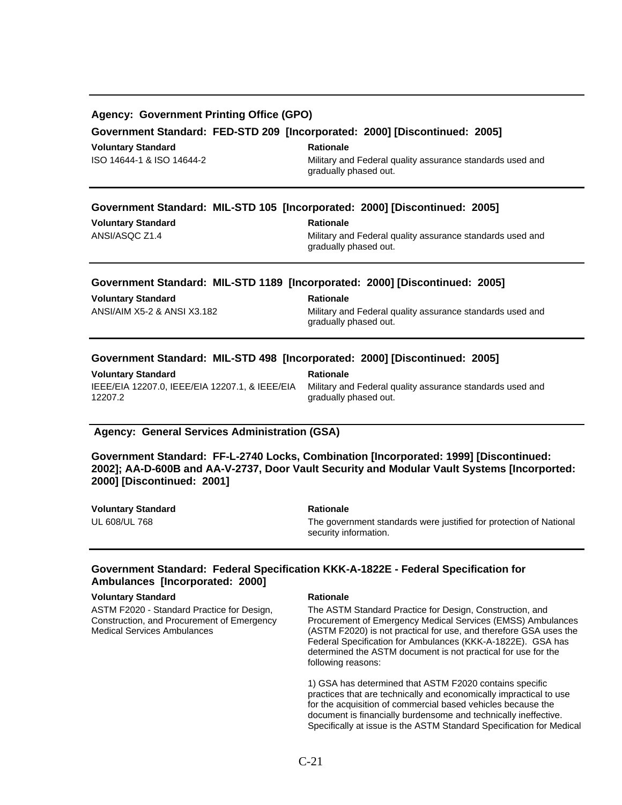| <b>Agency: Government Printing Office (GPO)</b><br>Government Standard: FED-STD 209 [Incorporated: 2000] [Discontinued: 2005] |                                                                                    |  |  |  |
|-------------------------------------------------------------------------------------------------------------------------------|------------------------------------------------------------------------------------|--|--|--|
| <b>Voluntary Standard</b>                                                                                                     | <b>Rationale</b>                                                                   |  |  |  |
| ISO 14644-1 & ISO 14644-2                                                                                                     | Military and Federal quality assurance standards used and<br>gradually phased out. |  |  |  |
|                                                                                                                               | Government Standard: MIL-STD 105 [Incorporated: 2000] [Discontinued: 2005]         |  |  |  |
| <b>Voluntary Standard</b>                                                                                                     | <b>Rationale</b>                                                                   |  |  |  |
| ANSI/ASQC Z1.4                                                                                                                | Military and Federal quality assurance standards used and<br>gradually phased out. |  |  |  |
|                                                                                                                               | Government Standard: MIL-STD 1189 [Incorporated: 2000] [Discontinued: 2005]        |  |  |  |
| <b>Voluntary Standard</b>                                                                                                     | <b>Rationale</b>                                                                   |  |  |  |
| ANSI/AIM X5-2 & ANSI X3.182                                                                                                   | Military and Federal quality assurance standards used and                          |  |  |  |

gradually phased out.

# **Government Standard: MIL-STD 498 [Incorporated: 2000] [Discontinued: 2005]**

**Voluntary Standard Mationale Rationale Rationale** IEEE/EIA 12207.0, IEEE/EIA 12207.1, & IEEE/EIA 12207.2

Military and Federal quality assurance standards used and gradually phased out.

### **Agency: General Services Administration (GSA)**

**Government Standard: FF-L-2740 Locks, Combination [Incorporated: 1999] [Discontinued: 2002]; AA-D-600B and AA-V-2737, Door Vault Security and Modular Vault Systems [Incorported: 2000] [Discontinued: 2001]** 

| <b>Voluntary Standard</b> | <b>Rationale</b>                                                                            |
|---------------------------|---------------------------------------------------------------------------------------------|
| UL 608/UL 768             | The government standards were justified for protection of National<br>security information. |

## **Government Standard: Federal Specification KKK-A-1822E - Federal Specification for Ambulances [Incorporated: 2000]**

### **Voluntary Standard Rationale Rationale Rationale**

ASTM F2020 - Standard Practice for Design, Construction, and Procurement of Emergency Medical Services Ambulances

The ASTM Standard Practice for Design, Construction, and Procurement of Emergency Medical Services (EMSS) Ambulances (ASTM F2020) is not practical for use, and therefore GSA uses the Federal Specification for Ambulances (KKK-A-1822E). GSA has determined the ASTM document is not practical for use for the following reasons:

1) GSA has determined that ASTM F2020 contains specific practices that are technically and economically impractical to use for the acquisition of commercial based vehicles because the document is financially burdensome and technically ineffective. Specifically at issue is the ASTM Standard Specification for Medical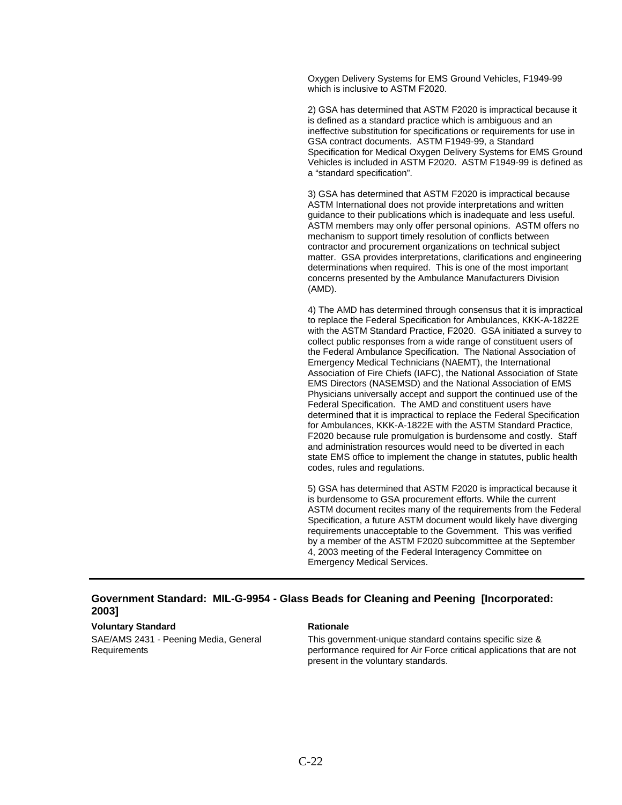Oxygen Delivery Systems for EMS Ground Vehicles, F1949-99 which is inclusive to ASTM F2020.

2) GSA has determined that ASTM F2020 is impractical because it is defined as a standard practice which is ambiguous and an ineffective substitution for specifications or requirements for use in GSA contract documents. ASTM F1949-99, a Standard Specification for Medical Oxygen Delivery Systems for EMS Ground Vehicles is included in ASTM F2020. ASTM F1949-99 is defined as a "standard specification".

3) GSA has determined that ASTM F2020 is impractical because ASTM International does not provide interpretations and written guidance to their publications which is inadequate and less useful. ASTM members may only offer personal opinions. ASTM offers no mechanism to support timely resolution of conflicts between contractor and procurement organizations on technical subject matter. GSA provides interpretations, clarifications and engineering determinations when required. This is one of the most important concerns presented by the Ambulance Manufacturers Division (AMD).

4) The AMD has determined through consensus that it is impractical to replace the Federal Specification for Ambulances, KKK-A-1822E with the ASTM Standard Practice, F2020. GSA initiated a survey to collect public responses from a wide range of constituent users of the Federal Ambulance Specification. The National Association of Emergency Medical Technicians (NAEMT), the International Association of Fire Chiefs (IAFC), the National Association of State EMS Directors (NASEMSD) and the National Association of EMS Physicians universally accept and support the continued use of the Federal Specification. The AMD and constituent users have determined that it is impractical to replace the Federal Specification for Ambulances, KKK-A-1822E with the ASTM Standard Practice, F2020 because rule promulgation is burdensome and costly. Staff and administration resources would need to be diverted in each state EMS office to implement the change in statutes, public health codes, rules and regulations.

5) GSA has determined that ASTM F2020 is impractical because it is burdensome to GSA procurement efforts. While the current ASTM document recites many of the requirements from the Federal Specification, a future ASTM document would likely have diverging requirements unacceptable to the Government. This was verified by a member of the ASTM F2020 subcommittee at the September 4, 2003 meeting of the Federal Interagency Committee on Emergency Medical Services.

# **Government Standard: MIL-G-9954 - Glass Beads for Cleaning and Peening [Incorporated: 2003]**

### **Voluntary Standard Mationale Rationale Rationale**

SAE/AMS 2431 - Peening Media, General Requirements

This government-unique standard contains specific size & performance required for Air Force critical applications that are not present in the voluntary standards.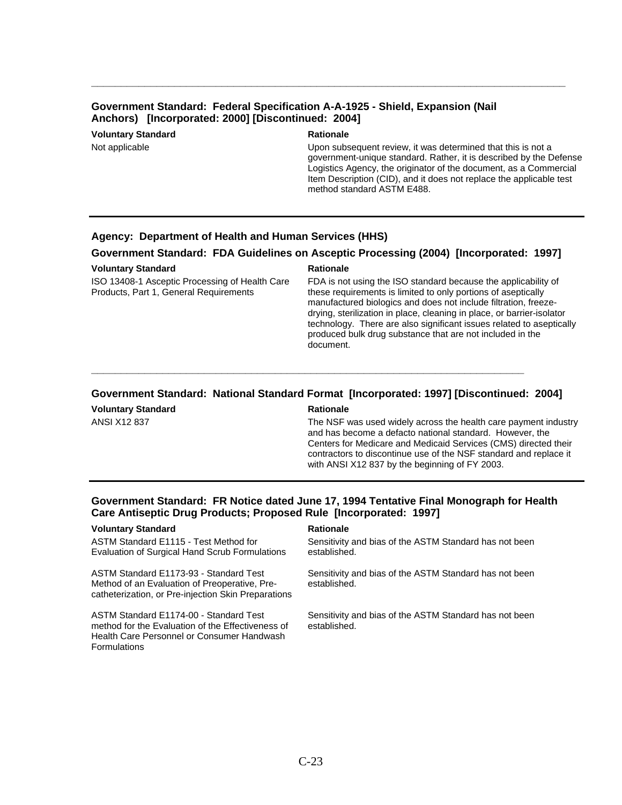# **Government Standard: Federal Specification A-A-1925 - Shield, Expansion (Nail Anchors) [Incorporated: 2000] [Discontinued: 2004]**

**Voluntary Standard Mationale Rationale Rationale** 

**\_\_\_\_\_\_\_\_\_\_\_\_\_\_\_\_\_\_\_\_\_\_\_\_\_\_\_\_\_\_\_\_\_\_\_\_\_\_\_\_\_\_\_\_\_\_\_\_\_\_\_\_\_\_\_\_\_\_\_\_\_\_\_\_\_\_\_\_\_\_\_\_\_\_\_\_\_\_\_\_** 

Not applicable Upon subsequent review, it was determined that this is not a government-unique standard. Rather, it is described by the Defense Logistics Agency, the originator of the document, as a Commercial Item Description (CID), and it does not replace the applicable test method standard ASTM E488.

### **Agency: Department of Health and Human Services (HHS)**

### **Government Standard: FDA Guidelines on Asceptic Processing (2004) [Incorporated: 1997]**

### **Voluntary Standard Rationale Rationale Rationale**

ISO 13408-1 Asceptic Processing of Health Care Products, Part 1, General Requirements

FDA is not using the ISO standard because the applicability of these requirements is limited to only portions of aseptically manufactured biologics and does not include filtration, freezedrying, sterilization in place, cleaning in place, or barrier-isolator technology. There are also significant issues related to aseptically produced bulk drug substance that are not included in the document.

# **Government Standard: National Standard Format [Incorporated: 1997] [Discontinued: 2004]**

**\_\_\_\_\_\_\_\_\_\_\_\_\_\_\_\_\_\_\_\_\_\_\_\_\_\_\_\_\_\_\_\_\_\_\_\_\_\_\_\_\_\_\_\_\_\_\_\_\_\_\_\_\_\_\_\_\_\_\_\_\_\_\_\_\_\_\_\_\_\_\_\_\_** 

**Voluntary Standard Mationale Rationale Rationale** 

ANSI X12 837 The NSF was used widely across the health care payment industry and has become a defacto national standard. However, the Centers for Medicare and Medicaid Services (CMS) directed their contractors to discontinue use of the NSF standard and replace it with ANSI X12 837 by the beginning of FY 2003.

# **Government Standard: FR Notice dated June 17, 1994 Tentative Final Monograph for Health Care Antiseptic Drug Products; Proposed Rule [Incorporated: 1997]**

### **Voluntary Standard Communisty Construction Communisty Rationale**

ASTM Standard E1115 - Test Method for Evaluation of Surgical Hand Scrub Formulations

ASTM Standard E1173-93 - Standard Test Method of an Evaluation of Preoperative, Precatheterization, or Pre-injection Skin Preparations

ASTM Standard E1174-00 - Standard Test method for the Evaluation of the Effectiveness of Health Care Personnel or Consumer Handwash **Formulations** 

Sensitivity and bias of the ASTM Standard has not been established.

Sensitivity and bias of the ASTM Standard has not been established.

Sensitivity and bias of the ASTM Standard has not been established.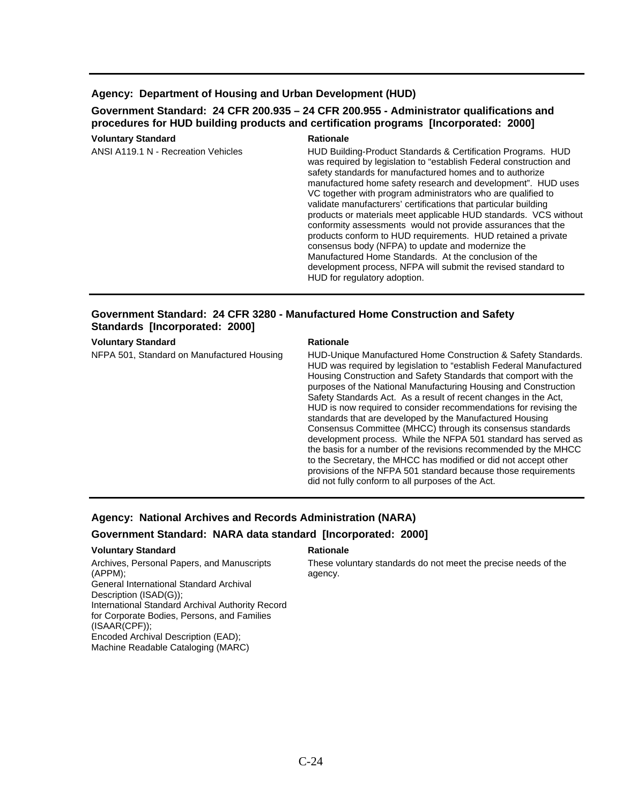# **Agency: Department of Housing and Urban Development (HUD)**

# **Government Standard: 24 CFR 200.935 – 24 CFR 200.955 - Administrator qualifications and procedures for HUD building products and certification programs [Incorporated: 2000]**

### **Voluntary Standard Rationale Rationale** ANSI A119.1 N - Recreation Vehicles HUD Building-Product Standards & Certification Programs. HUD was required by legislation to "establish Federal construction and safety standards for manufactured homes and to authorize manufactured home safety research and development". HUD uses VC together with program administrators who are qualified to validate manufacturers' certifications that particular building products or materials meet applicable HUD standards. VCS without conformity assessments would not provide assurances that the products conform to HUD requirements. HUD retained a private consensus body (NFPA) to update and modernize the Manufactured Home Standards. At the conclusion of the development process, NFPA will submit the revised standard to HUD for regulatory adoption.

# **Government Standard: 24 CFR 3280 - Manufactured Home Construction and Safety Standards [Incorporated: 2000]**

**Voluntary Standard Rationale Rationale Rationale** 

NFPA 501, Standard on Manufactured Housing HUD-Unique Manufactured Home Construction & Safety Standards. HUD was required by legislation to "establish Federal Manufactured Housing Construction and Safety Standards that comport with the purposes of the National Manufacturing Housing and Construction Safety Standards Act. As a result of recent changes in the Act, HUD is now required to consider recommendations for revising the standards that are developed by the Manufactured Housing Consensus Committee (MHCC) through its consensus standards development process. While the NFPA 501 standard has served as the basis for a number of the revisions recommended by the MHCC to the Secretary, the MHCC has modified or did not accept other provisions of the NFPA 501 standard because those requirements did not fully conform to all purposes of the Act.

# **Agency: National Archives and Records Administration (NARA)**

# **Government Standard: NARA data standard [Incorporated: 2000]**

### **Voluntary Standard Communisty Construction Communisty Rationale**

Archives, Personal Papers, and Manuscripts (APPM); General International Standard Archival Description (ISAD(G)); International Standard Archival Authority Record for Corporate Bodies, Persons, and Families (ISAAR(CPF)); Encoded Archival Description (EAD); Machine Readable Cataloging (MARC)

These voluntary standards do not meet the precise needs of the agency.